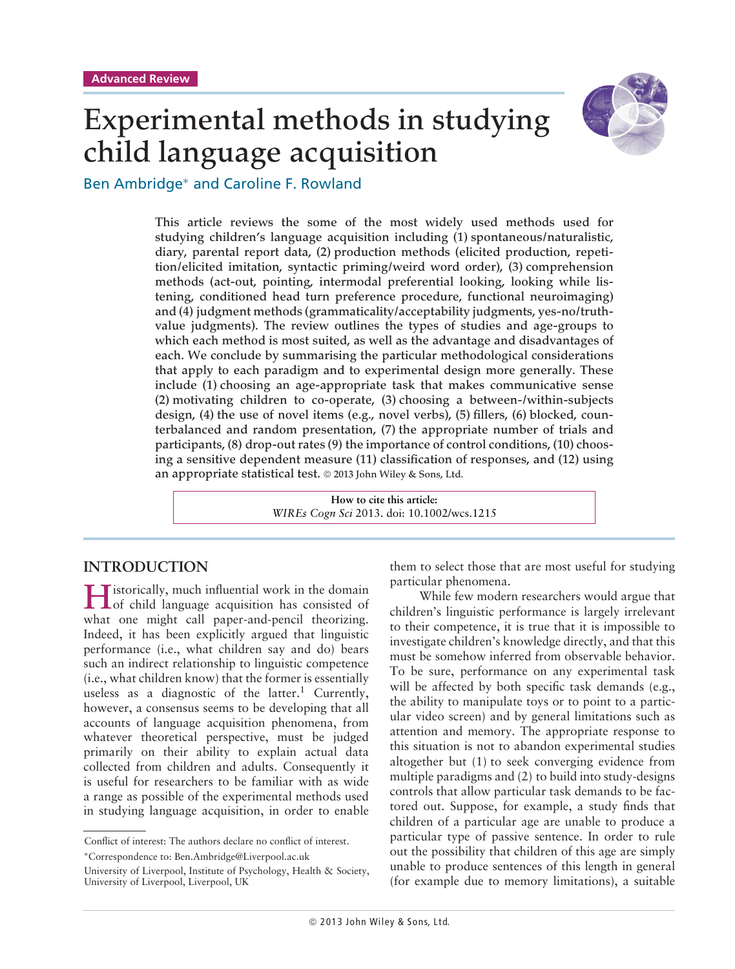# **Experimental methods in studying child language acquisition**



Ben Ambridge∗ and Caroline F. Rowland

**This article reviews the some of the most widely used methods used for studying children's language acquisition including (1) spontaneous/naturalistic, diary, parental report data, (2) production methods (elicited production, repetition/elicited imitation, syntactic priming/weird word order), (3) comprehension methods (act-out, pointing, intermodal preferential looking, looking while listening, conditioned head turn preference procedure, functional neuroimaging) and (4) judgment methods (grammaticality/acceptability judgments, yes-no/truthvalue judgments). The review outlines the types of studies and age-groups to which each method is most suited, as well as the advantage and disadvantages of each. We conclude by summarising the particular methodological considerations that apply to each paradigm and to experimental design more generally. These include (1) choosing an age-appropriate task that makes communicative sense (2) motivating children to co-operate, (3) choosing a between-/within-subjects design, (4) the use of novel items (e.g., novel verbs), (5) fillers, (6) blocked, counterbalanced and random presentation, (7) the appropriate number of trials and participants, (8) drop-out rates (9) the importance of control conditions, (10) choosing a sensitive dependent measure (11) classification of responses, and (12) using an appropriate statistical test.** © **2013 John Wiley & Sons, Ltd.**

> **How to cite this article:** *WIREs Cogn Sci* 2013. doi: 10.1002/wcs.1215

## **INTRODUCTION**

**Heiders** is torically, much influential work in the domain<br>of child language acquisition has consisted of what one might call paper-and-pencil theorizing. Indeed, it has been explicitly argued that linguistic performance (i.e., what children say and do) bears such an indirect relationship to linguistic competence (i.e., what children know) that the former is essentially useless as a diagnostic of the latter.<sup>1</sup> Currently, however, a consensus seems to be developing that all accounts of language acquisition phenomena, from whatever theoretical perspective, must be judged primarily on their ability to explain actual data collected from children and adults. Consequently it is useful for researchers to be familiar with as wide a range as possible of the experimental methods used in studying language acquisition, in order to enable

∗Correspondence to: Ben.Ambridge@Liverpool.ac.uk

them to select those that are most useful for studying particular phenomena.

While few modern researchers would argue that children's linguistic performance is largely irrelevant to their competence, it is true that it is impossible to investigate children's knowledge directly, and that this must be somehow inferred from observable behavior. To be sure, performance on any experimental task will be affected by both specific task demands (e.g., the ability to manipulate toys or to point to a particular video screen) and by general limitations such as attention and memory. The appropriate response to this situation is not to abandon experimental studies altogether but (1) to seek converging evidence from multiple paradigms and (2) to build into study-designs controls that allow particular task demands to be factored out. Suppose, for example, a study finds that children of a particular age are unable to produce a particular type of passive sentence. In order to rule out the possibility that children of this age are simply unable to produce sentences of this length in general (for example due to memory limitations), a suitable

Conflict of interest: The authors declare no conflict of interest.

University of Liverpool, Institute of Psychology, Health & Society, University of Liverpool, Liverpool, UK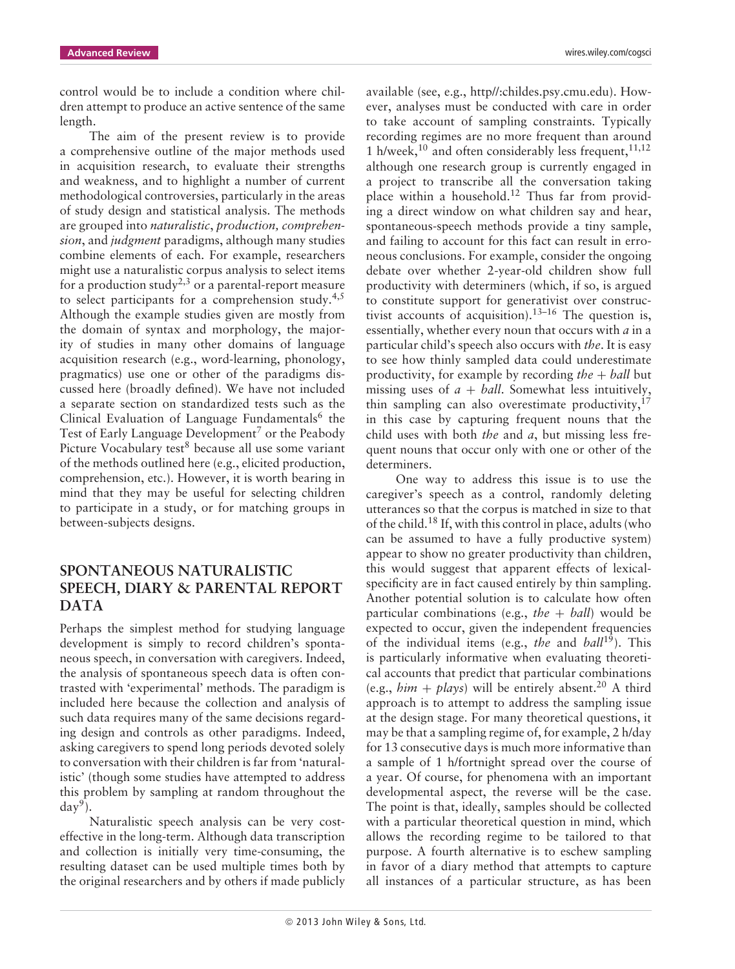control would be to include a condition where children attempt to produce an active sentence of the same length.

The aim of the present review is to provide a comprehensive outline of the major methods used in acquisition research, to evaluate their strengths and weakness, and to highlight a number of current methodological controversies, particularly in the areas of study design and statistical analysis. The methods are grouped into *naturalistic*, *production, comprehension*, and *judgment* paradigms, although many studies combine elements of each. For example, researchers might use a naturalistic corpus analysis to select items for a production study<sup>2,3</sup> or a parental-report measure to select participants for a comprehension study.4,5 Although the example studies given are mostly from the domain of syntax and morphology, the majority of studies in many other domains of language acquisition research (e.g., word-learning, phonology, pragmatics) use one or other of the paradigms discussed here (broadly defined). We have not included a separate section on standardized tests such as the Clinical Evaluation of Language Fundamentals $6$  the Test of Early Language Development<sup>7</sup> or the Peabody Picture Vocabulary test<sup>8</sup> because all use some variant of the methods outlined here (e.g., elicited production, comprehension, etc.). However, it is worth bearing in mind that they may be useful for selecting children to participate in a study, or for matching groups in between-subjects designs.

## **SPONTANEOUS NATURALISTIC SPEECH, DIARY & PARENTAL REPORT DATA**

Perhaps the simplest method for studying language development is simply to record children's spontaneous speech, in conversation with caregivers. Indeed, the analysis of spontaneous speech data is often contrasted with 'experimental' methods. The paradigm is included here because the collection and analysis of such data requires many of the same decisions regarding design and controls as other paradigms. Indeed, asking caregivers to spend long periods devoted solely to conversation with their children is far from 'naturalistic' (though some studies have attempted to address this problem by sampling at random throughout the  $day<sup>9</sup>$ .

Naturalistic speech analysis can be very costeffective in the long-term. Although data transcription and collection is initially very time-consuming, the resulting dataset can be used multiple times both by the original researchers and by others if made publicly available (see, e.g., http//:childes.psy.cmu.edu). However, analyses must be conducted with care in order to take account of sampling constraints. Typically recording regimes are no more frequent than around 1 h/week,<sup>10</sup> and often considerably less frequent,<sup>11,12</sup> although one research group is currently engaged in a project to transcribe all the conversation taking place within a household.12 Thus far from providing a direct window on what children say and hear, spontaneous-speech methods provide a tiny sample, and failing to account for this fact can result in erroneous conclusions. For example, consider the ongoing debate over whether 2-year-old children show full productivity with determiners (which, if so, is argued to constitute support for generativist over constructivist accounts of acquisition).<sup>13-16</sup> The question is, essentially, whether every noun that occurs with *a* in a particular child's speech also occurs with *the*. It is easy to see how thinly sampled data could underestimate productivity, for example by recording *the* + *ball* but missing uses of  $a + ball$ . Somewhat less intuitively, thin sampling can also overestimate productivity,  $17$ in this case by capturing frequent nouns that the child uses with both *the* and *a*, but missing less frequent nouns that occur only with one or other of the determiners.

One way to address this issue is to use the caregiver's speech as a control, randomly deleting utterances so that the corpus is matched in size to that of the child.18 If, with this control in place, adults (who can be assumed to have a fully productive system) appear to show no greater productivity than children, this would suggest that apparent effects of lexicalspecificity are in fact caused entirely by thin sampling. Another potential solution is to calculate how often particular combinations (e.g., *the* + *ball*) would be expected to occur, given the independent frequencies of the individual items (e.g., *the* and *ball*19). This is particularly informative when evaluating theoretical accounts that predict that particular combinations (e.g.,  $\text{him} + \text{ plays}$ ) will be entirely absent.<sup>20</sup> A third approach is to attempt to address the sampling issue at the design stage. For many theoretical questions, it may be that a sampling regime of, for example, 2 h/day for 13 consecutive days is much more informative than a sample of 1 h/fortnight spread over the course of a year. Of course, for phenomena with an important developmental aspect, the reverse will be the case. The point is that, ideally, samples should be collected with a particular theoretical question in mind, which allows the recording regime to be tailored to that purpose. A fourth alternative is to eschew sampling in favor of a diary method that attempts to capture all instances of a particular structure, as has been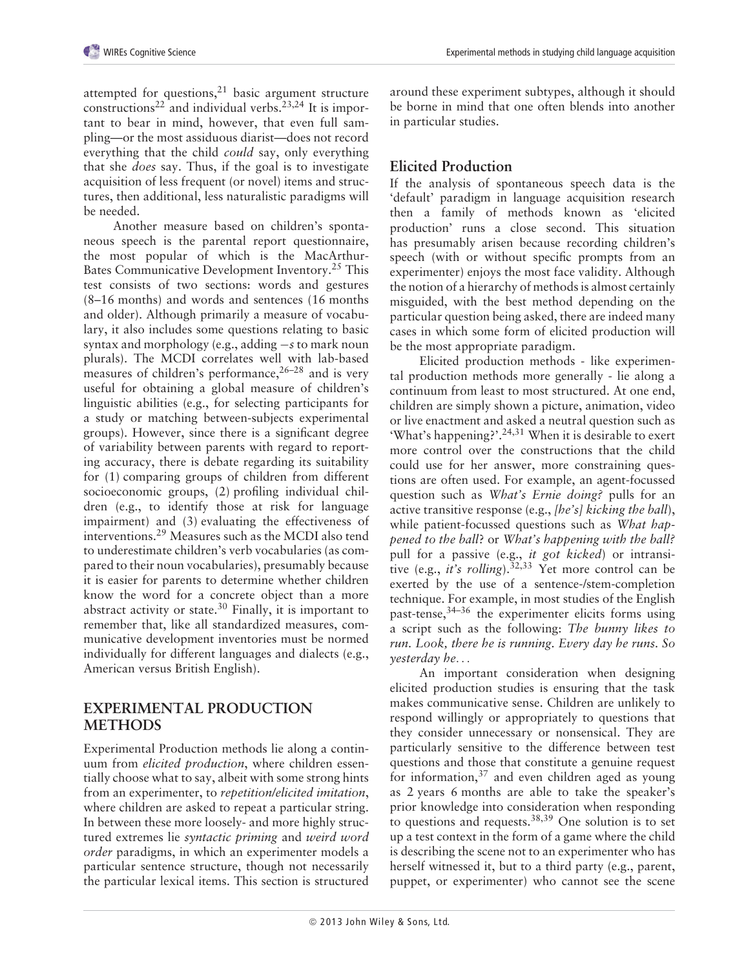attempted for questions, $21$  basic argument structure constructions<sup>22</sup> and individual verbs.<sup>23,24</sup> It is important to bear in mind, however, that even full sampling—or the most assiduous diarist—does not record everything that the child *could* say, only everything that she *does* say. Thus, if the goal is to investigate acquisition of less frequent (or novel) items and structures, then additional, less naturalistic paradigms will be needed.

Another measure based on children's spontaneous speech is the parental report questionnaire, the most popular of which is the MacArthur-Bates Communicative Development Inventory.<sup>25</sup> This test consists of two sections: words and gestures (8–16 months) and words and sentences (16 months and older). Although primarily a measure of vocabulary, it also includes some questions relating to basic syntax and morphology (e.g., adding −*s* to mark noun plurals). The MCDI correlates well with lab-based measures of children's performance,  $26-28$  and is very useful for obtaining a global measure of children's linguistic abilities (e.g., for selecting participants for a study or matching between-subjects experimental groups). However, since there is a significant degree of variability between parents with regard to reporting accuracy, there is debate regarding its suitability for (1) comparing groups of children from different socioeconomic groups, (2) profiling individual children (e.g., to identify those at risk for language impairment) and (3) evaluating the effectiveness of interventions.<sup>29</sup> Measures such as the MCDI also tend to underestimate children's verb vocabularies (as compared to their noun vocabularies), presumably because it is easier for parents to determine whether children know the word for a concrete object than a more abstract activity or state.<sup>30</sup> Finally, it is important to remember that, like all standardized measures, communicative development inventories must be normed individually for different languages and dialects (e.g., American versus British English).

# **EXPERIMENTAL PRODUCTION METHODS**

Experimental Production methods lie along a continuum from *elicited production*, where children essentially choose what to say, albeit with some strong hints from an experimenter, to *repetition/elicited imitation*, where children are asked to repeat a particular string. In between these more loosely- and more highly structured extremes lie *syntactic priming* and *weird word order* paradigms, in which an experimenter models a particular sentence structure, though not necessarily the particular lexical items. This section is structured

around these experiment subtypes, although it should be borne in mind that one often blends into another in particular studies.

# **Elicited Production**

If the analysis of spontaneous speech data is the 'default' paradigm in language acquisition research then a family of methods known as 'elicited production' runs a close second. This situation has presumably arisen because recording children's speech (with or without specific prompts from an experimenter) enjoys the most face validity. Although the notion of a hierarchy of methods is almost certainly misguided, with the best method depending on the particular question being asked, there are indeed many cases in which some form of elicited production will be the most appropriate paradigm.

Elicited production methods - like experimental production methods more generally - lie along a continuum from least to most structured. At one end, children are simply shown a picture, animation, video or live enactment and asked a neutral question such as 'What's happening?'.24,31 When it is desirable to exert more control over the constructions that the child could use for her answer, more constraining questions are often used. For example, an agent-focussed question such as *What's Ernie doing?* pulls for an active transitive response (e.g., *[he's] kicking the ball*), while patient-focussed questions such as *What happened to the ball*? or *What's happening with the ball?* pull for a passive (e.g., *it got kicked*) or intransitive (e.g., *it's rolling*).32,33 Yet more control can be exerted by the use of a sentence-/stem-completion technique. For example, in most studies of the English past-tense,34–36 the experimenter elicits forms using a script such as the following: *The bunny likes to run. Look, there he is running. Every day he runs. So yesterday he...*

An important consideration when designing elicited production studies is ensuring that the task makes communicative sense. Children are unlikely to respond willingly or appropriately to questions that they consider unnecessary or nonsensical. They are particularly sensitive to the difference between test questions and those that constitute a genuine request for information,  $37$  and even children aged as young as 2 years 6 months are able to take the speaker's prior knowledge into consideration when responding to questions and requests.  $38,39$  One solution is to set up a test context in the form of a game where the child is describing the scene not to an experimenter who has herself witnessed it, but to a third party (e.g., parent, puppet, or experimenter) who cannot see the scene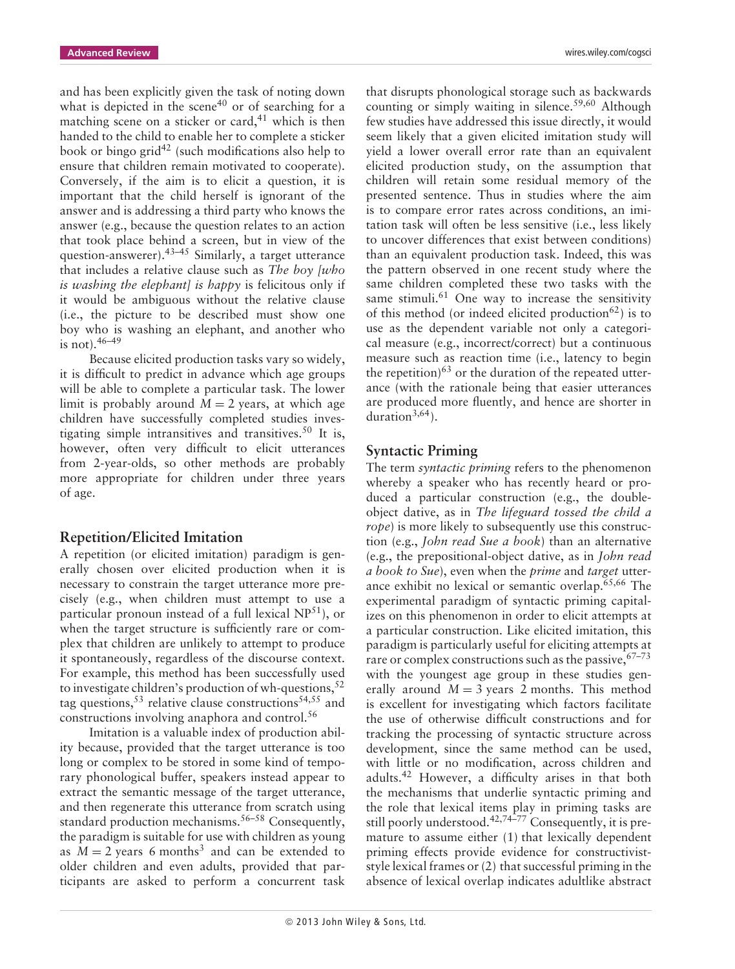and has been explicitly given the task of noting down what is depicted in the scene<sup>40</sup> or of searching for a matching scene on a sticker or card, $41$  which is then handed to the child to enable her to complete a sticker book or bingo  $grid^{42}$  (such modifications also help to ensure that children remain motivated to cooperate). Conversely, if the aim is to elicit a question, it is important that the child herself is ignorant of the answer and is addressing a third party who knows the answer (e.g., because the question relates to an action that took place behind a screen, but in view of the question-answerer).43–45 Similarly, a target utterance that includes a relative clause such as *The boy [who is washing the elephant] is happy* is felicitous only if it would be ambiguous without the relative clause (i.e., the picture to be described must show one boy who is washing an elephant, and another who is not).  $46-49$ 

Because elicited production tasks vary so widely, it is difficult to predict in advance which age groups will be able to complete a particular task. The lower limit is probably around  $M = 2$  years, at which age children have successfully completed studies investigating simple intransitives and transitives.<sup>50</sup> It is, however, often very difficult to elicit utterances from 2-year-olds, so other methods are probably more appropriate for children under three years of age.

#### **Repetition/Elicited Imitation**

A repetition (or elicited imitation) paradigm is generally chosen over elicited production when it is necessary to constrain the target utterance more precisely (e.g., when children must attempt to use a particular pronoun instead of a full lexical  $NP^{51}$ ), or when the target structure is sufficiently rare or complex that children are unlikely to attempt to produce it spontaneously, regardless of the discourse context. For example, this method has been successfully used to investigate children's production of wh-questions,  $52$ tag questions,<sup>53</sup> relative clause constructions<sup>54,55</sup> and constructions involving anaphora and control.56

Imitation is a valuable index of production ability because, provided that the target utterance is too long or complex to be stored in some kind of temporary phonological buffer, speakers instead appear to extract the semantic message of the target utterance, and then regenerate this utterance from scratch using standard production mechanisms.<sup>56–58</sup> Consequently, the paradigm is suitable for use with children as young as  $M = 2$  years 6 months<sup>3</sup> and can be extended to older children and even adults, provided that participants are asked to perform a concurrent task that disrupts phonological storage such as backwards counting or simply waiting in silence.<sup>59,60</sup> Although few studies have addressed this issue directly, it would seem likely that a given elicited imitation study will yield a lower overall error rate than an equivalent elicited production study, on the assumption that children will retain some residual memory of the presented sentence. Thus in studies where the aim is to compare error rates across conditions, an imitation task will often be less sensitive (i.e., less likely to uncover differences that exist between conditions) than an equivalent production task. Indeed, this was the pattern observed in one recent study where the same children completed these two tasks with the same stimuli. $^{61}$  One way to increase the sensitivity of this method (or indeed elicited production  $62$ ) is to use as the dependent variable not only a categorical measure (e.g., incorrect/correct) but a continuous measure such as reaction time (i.e., latency to begin the repetition) $63$  or the duration of the repeated utterance (with the rationale being that easier utterances are produced more fluently, and hence are shorter in duration<sup>3,64</sup>).

#### **Syntactic Priming**

The term *syntactic priming* refers to the phenomenon whereby a speaker who has recently heard or produced a particular construction (e.g., the doubleobject dative, as in *The lifeguard tossed the child a rope*) is more likely to subsequently use this construction (e.g., *John read Sue a book*) than an alternative (e.g., the prepositional-object dative, as in *John read a book to Sue*), even when the *prime* and *target* utterance exhibit no lexical or semantic overlap.65,66 The experimental paradigm of syntactic priming capitalizes on this phenomenon in order to elicit attempts at a particular construction. Like elicited imitation, this paradigm is particularly useful for eliciting attempts at rare or complex constructions such as the passive,  $67-73$ with the youngest age group in these studies generally around  $M = 3$  years 2 months. This method is excellent for investigating which factors facilitate the use of otherwise difficult constructions and for tracking the processing of syntactic structure across development, since the same method can be used, with little or no modification, across children and adults.<sup>42</sup> However, a difficulty arises in that both the mechanisms that underlie syntactic priming and the role that lexical items play in priming tasks are still poorly understood. $42,74-77$  Consequently, it is premature to assume either (1) that lexically dependent priming effects provide evidence for constructiviststyle lexical frames or (2) that successful priming in the absence of lexical overlap indicates adultlike abstract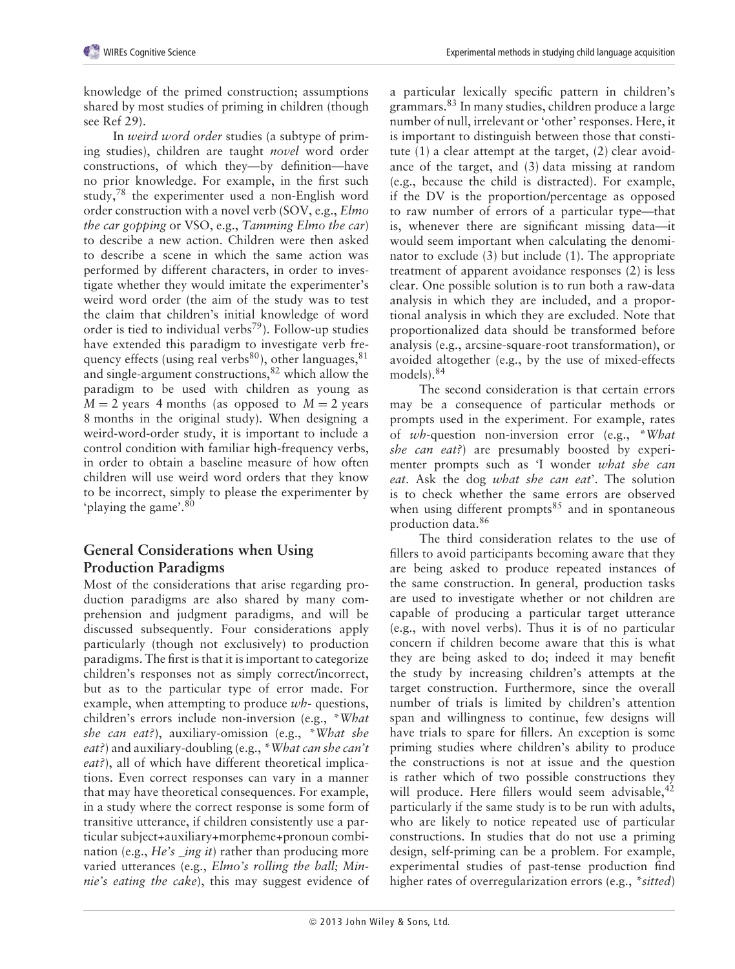knowledge of the primed construction; assumptions shared by most studies of priming in children (though see Ref 29).

In *weird word order* studies (a subtype of priming studies), children are taught *novel* word order constructions, of which they—by definition—have no prior knowledge. For example, in the first such study,<sup>78</sup> the experimenter used a non-English word order construction with a novel verb (SOV, e.g., *Elmo the car gopping* or VSO, e.g., *Tamming Elmo the car*) to describe a new action. Children were then asked to describe a scene in which the same action was performed by different characters, in order to investigate whether they would imitate the experimenter's weird word order (the aim of the study was to test the claim that children's initial knowledge of word order is tied to individual verbs<sup>79</sup>). Follow-up studies have extended this paradigm to investigate verb frequency effects (using real verbs $^{80}$ ), other languages,  $^{81}$ and single-argument constructions,  $82$  which allow the paradigm to be used with children as young as  $M = 2$  years 4 months (as opposed to  $M = 2$  years 8 months in the original study). When designing a weird-word-order study, it is important to include a control condition with familiar high-frequency verbs, in order to obtain a baseline measure of how often children will use weird word orders that they know to be incorrect, simply to please the experimenter by 'playing the game'.80

# **General Considerations when Using Production Paradigms**

Most of the considerations that arise regarding production paradigms are also shared by many comprehension and judgment paradigms, and will be discussed subsequently. Four considerations apply particularly (though not exclusively) to production paradigms. The first is that it is important to categorize children's responses not as simply correct/incorrect, but as to the particular type of error made. For example, when attempting to produce *wh*- questions, children's errors include non-inversion (e.g., *\*What she can eat?*), auxiliary-omission (e.g., *\*What she eat?*) and auxiliary-doubling (e.g., *\*What can she can't eat?*), all of which have different theoretical implications. Even correct responses can vary in a manner that may have theoretical consequences. For example, in a study where the correct response is some form of transitive utterance, if children consistently use a particular subject+auxiliary+morpheme+pronoun combination (e.g., *He's \_ing it*) rather than producing more varied utterances (e.g., *Elmo's rolling the ball; Minnie's eating the cake*), this may suggest evidence of a particular lexically specific pattern in children's grammars.<sup>83</sup> In many studies, children produce a large number of null, irrelevant or 'other' responses. Here, it is important to distinguish between those that constitute (1) a clear attempt at the target, (2) clear avoidance of the target, and (3) data missing at random (e.g., because the child is distracted). For example, if the DV is the proportion/percentage as opposed to raw number of errors of a particular type—that is, whenever there are significant missing data—it would seem important when calculating the denominator to exclude (3) but include (1). The appropriate treatment of apparent avoidance responses (2) is less clear. One possible solution is to run both a raw-data analysis in which they are included, and a proportional analysis in which they are excluded. Note that proportionalized data should be transformed before analysis (e.g., arcsine-square-root transformation), or avoided altogether (e.g., by the use of mixed-effects models).<sup>84</sup>

The second consideration is that certain errors may be a consequence of particular methods or prompts used in the experiment. For example, rates of *wh*-question non-inversion error (e.g., *\*What she can eat?*) are presumably boosted by experimenter prompts such as 'I wonder *what she can eat*. Ask the dog *what she can eat*'. The solution is to check whether the same errors are observed when using different prompts $85$  and in spontaneous production data.<sup>86</sup>

The third consideration relates to the use of fillers to avoid participants becoming aware that they are being asked to produce repeated instances of the same construction. In general, production tasks are used to investigate whether or not children are capable of producing a particular target utterance (e.g., with novel verbs). Thus it is of no particular concern if children become aware that this is what they are being asked to do; indeed it may benefit the study by increasing children's attempts at the target construction. Furthermore, since the overall number of trials is limited by children's attention span and willingness to continue, few designs will have trials to spare for fillers. An exception is some priming studies where children's ability to produce the constructions is not at issue and the question is rather which of two possible constructions they will produce. Here fillers would seem advisable,  $42$ particularly if the same study is to be run with adults, who are likely to notice repeated use of particular constructions. In studies that do not use a priming design, self-priming can be a problem. For example, experimental studies of past-tense production find higher rates of overregularization errors (e.g., *\*sitted*)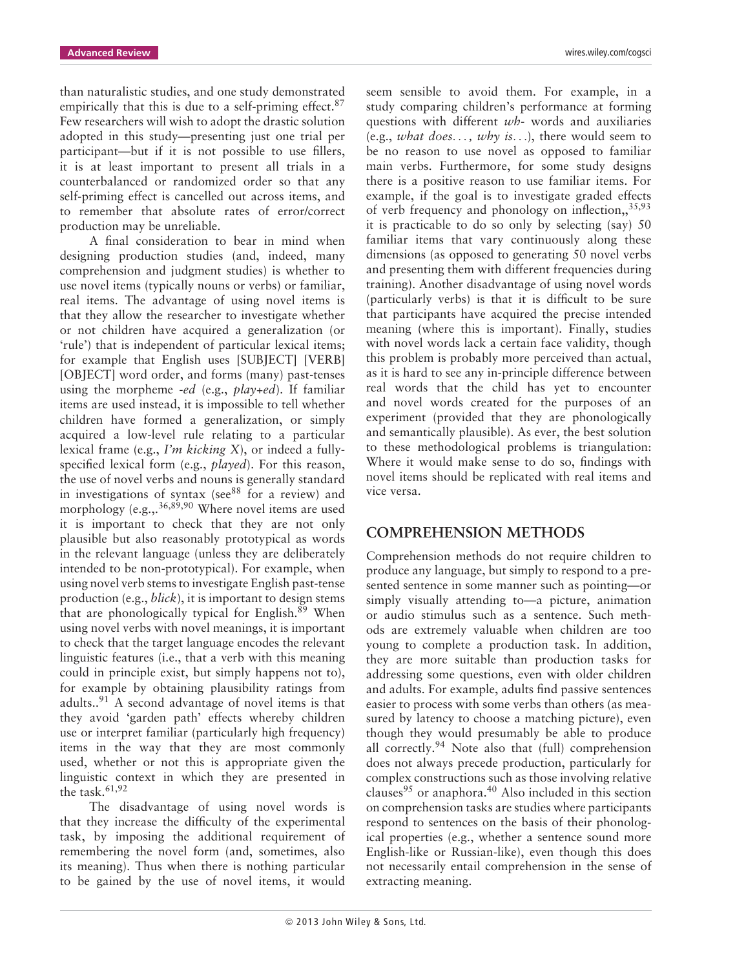than naturalistic studies, and one study demonstrated empirically that this is due to a self-priming effect. $87$ Few researchers will wish to adopt the drastic solution adopted in this study—presenting just one trial per participant—but if it is not possible to use fillers, it is at least important to present all trials in a counterbalanced or randomized order so that any self-priming effect is cancelled out across items, and to remember that absolute rates of error/correct production may be unreliable.

A final consideration to bear in mind when designing production studies (and, indeed, many comprehension and judgment studies) is whether to use novel items (typically nouns or verbs) or familiar, real items. The advantage of using novel items is that they allow the researcher to investigate whether or not children have acquired a generalization (or 'rule') that is independent of particular lexical items; for example that English uses [SUBJECT] [VERB] [OBJECT] word order, and forms (many) past-tenses using the morpheme *-ed* (e.g., *play+ed*). If familiar items are used instead, it is impossible to tell whether children have formed a generalization, or simply acquired a low-level rule relating to a particular lexical frame (e.g., *I'm kicking X*), or indeed a fullyspecified lexical form (e.g., *played*). For this reason, the use of novel verbs and nouns is generally standard in investigations of syntax (see $88$  for a review) and morphology (e.g.,  $^{36,89,90}$  Where novel items are used it is important to check that they are not only plausible but also reasonably prototypical as words in the relevant language (unless they are deliberately intended to be non-prototypical). For example, when using novel verb stems to investigate English past-tense production (e.g., *blick*), it is important to design stems that are phonologically typical for English.89 When using novel verbs with novel meanings, it is important to check that the target language encodes the relevant linguistic features (i.e., that a verb with this meaning could in principle exist, but simply happens not to), for example by obtaining plausibility ratings from adults..<sup>91</sup> A second advantage of novel items is that they avoid 'garden path' effects whereby children use or interpret familiar (particularly high frequency) items in the way that they are most commonly used, whether or not this is appropriate given the linguistic context in which they are presented in the task. $61,92$ 

The disadvantage of using novel words is that they increase the difficulty of the experimental task, by imposing the additional requirement of remembering the novel form (and, sometimes, also its meaning). Thus when there is nothing particular to be gained by the use of novel items, it would

seem sensible to avoid them. For example, in a study comparing children's performance at forming questions with different *wh*- words and auxiliaries (e.g., *what does... , why is...*), there would seem to be no reason to use novel as opposed to familiar main verbs. Furthermore, for some study designs there is a positive reason to use familiar items. For example, if the goal is to investigate graded effects of verb frequency and phonology on inflection,, $35,93$ it is practicable to do so only by selecting (say) 50 familiar items that vary continuously along these dimensions (as opposed to generating 50 novel verbs and presenting them with different frequencies during training). Another disadvantage of using novel words (particularly verbs) is that it is difficult to be sure that participants have acquired the precise intended meaning (where this is important). Finally, studies with novel words lack a certain face validity, though this problem is probably more perceived than actual, as it is hard to see any in-principle difference between real words that the child has yet to encounter and novel words created for the purposes of an experiment (provided that they are phonologically and semantically plausible). As ever, the best solution to these methodological problems is triangulation: Where it would make sense to do so, findings with novel items should be replicated with real items and vice versa.

#### **COMPREHENSION METHODS**

Comprehension methods do not require children to produce any language, but simply to respond to a presented sentence in some manner such as pointing—or simply visually attending to—a picture, animation or audio stimulus such as a sentence. Such methods are extremely valuable when children are too young to complete a production task. In addition, they are more suitable than production tasks for addressing some questions, even with older children and adults. For example, adults find passive sentences easier to process with some verbs than others (as measured by latency to choose a matching picture), even though they would presumably be able to produce all correctly.<sup>94</sup> Note also that (full) comprehension does not always precede production, particularly for complex constructions such as those involving relative clauses<sup>95</sup> or anaphora.<sup>40</sup> Also included in this section on comprehension tasks are studies where participants respond to sentences on the basis of their phonological properties (e.g., whether a sentence sound more English-like or Russian-like), even though this does not necessarily entail comprehension in the sense of extracting meaning.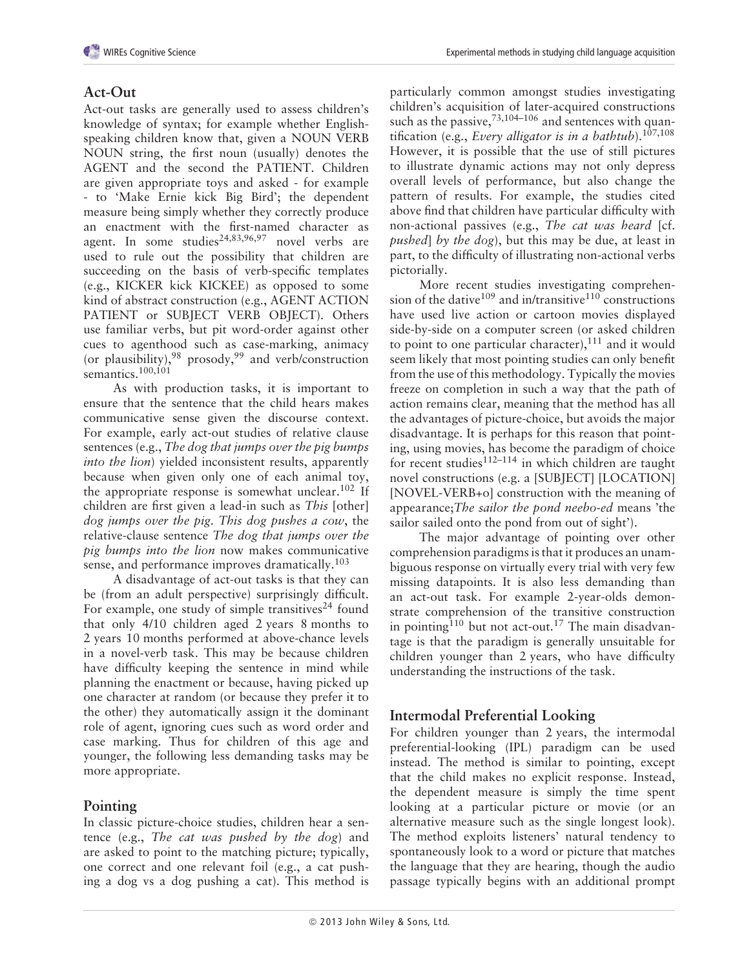## **Act-Out**

Act-out tasks are generally used to assess children's knowledge of syntax; for example whether Englishspeaking children know that, given a NOUN VERB NOUN string, the first noun (usually) denotes the AGENT and the second the PATIENT. Children are given appropriate toys and asked - for example - to 'Make Ernie kick Big Bird'; the dependent measure being simply whether they correctly produce an enactment with the first-named character as agent. In some studies<sup>24,83,96,97</sup> novel verbs are used to rule out the possibility that children are succeeding on the basis of verb-specific templates (e.g., KICKER kick KICKEE) as opposed to some kind of abstract construction (e.g., AGENT ACTION PATIENT or SUBJECT VERB OBJECT). Others use familiar verbs, but pit word-order against other cues to agenthood such as case-marking, animacy (or plausibility),  $98$  prosody,  $99$  and verb/construction semantics.<sup>100,101</sup>

As with production tasks, it is important to ensure that the sentence that the child hears makes communicative sense given the discourse context. For example, early act-out studies of relative clause sentences (e.g., *The dog that jumps over the pig bumps into the lion*) yielded inconsistent results, apparently because when given only one of each animal toy, the appropriate response is somewhat unclear.  $102$  If children are first given a lead-in such as *This* [other] *dog jumps over the pig. This dog pushes a cow*, the relative-clause sentence *The dog that jumps over the pig bumps into the lion* now makes communicative sense, and performance improves dramatically.<sup>103</sup>

A disadvantage of act-out tasks is that they can be (from an adult perspective) surprisingly difficult. For example, one study of simple transitives<sup>24</sup> found that only 4/10 children aged 2 years 8 months to 2 years 10 months performed at above-chance levels in a novel-verb task. This may be because children have difficulty keeping the sentence in mind while planning the enactment or because, having picked up one character at random (or because they prefer it to the other) they automatically assign it the dominant role of agent, ignoring cues such as word order and case marking. Thus for children of this age and younger, the following less demanding tasks may be more appropriate.

## **Pointing**

In classic picture-choice studies, children hear a sentence (e.g., *The cat was pushed by the dog*) and are asked to point to the matching picture; typically, one correct and one relevant foil (e.g., a cat pushing a dog vs a dog pushing a cat). This method is

particularly common amongst studies investigating children's acquisition of later-acquired constructions such as the passive,  $7^{3,104-106}$  and sentences with quantification (e.g., *Every alligator is in a bathtub*).107,108 However, it is possible that the use of still pictures to illustrate dynamic actions may not only depress overall levels of performance, but also change the pattern of results. For example, the studies cited above find that children have particular difficulty with non-actional passives (e.g., *The cat was heard* [cf. *pushed*] *by the dog*), but this may be due, at least in part, to the difficulty of illustrating non-actional verbs pictorially.

More recent studies investigating comprehension of the dative<sup>109</sup> and in/transitive<sup>110</sup> constructions have used live action or cartoon movies displayed side-by-side on a computer screen (or asked children to point to one particular character),  $111$  and it would seem likely that most pointing studies can only benefit from the use of this methodology. Typically the movies freeze on completion in such a way that the path of action remains clear, meaning that the method has all the advantages of picture-choice, but avoids the major disadvantage. It is perhaps for this reason that pointing, using movies, has become the paradigm of choice for recent studies<sup>112–114</sup> in which children are taught novel constructions (e.g. a [SUBJECT] [LOCATION] [NOVEL-VERB+o] construction with the meaning of appearance;*The sailor the pond neebo-ed* means 'the sailor sailed onto the pond from out of sight').

The major advantage of pointing over other comprehension paradigms is that it produces an unambiguous response on virtually every trial with very few missing datapoints. It is also less demanding than an act-out task. For example 2-year-olds demonstrate comprehension of the transitive construction in pointing<sup>110</sup> but not act-out.<sup>17</sup> The main disadvantage is that the paradigm is generally unsuitable for children younger than 2 years, who have difficulty understanding the instructions of the task.

# **Intermodal Preferential Looking**

For children younger than 2 years, the intermodal preferential-looking (IPL) paradigm can be used instead. The method is similar to pointing, except that the child makes no explicit response. Instead, the dependent measure is simply the time spent looking at a particular picture or movie (or an alternative measure such as the single longest look). The method exploits listeners' natural tendency to spontaneously look to a word or picture that matches the language that they are hearing, though the audio passage typically begins with an additional prompt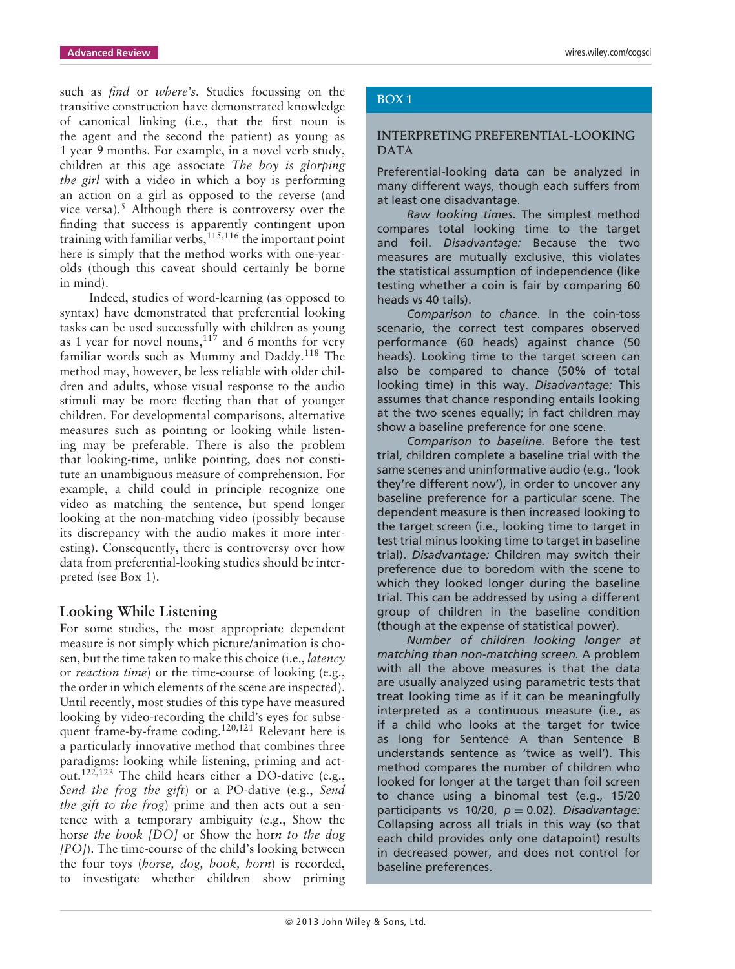such as *find* or *where's.* Studies focussing on the transitive construction have demonstrated knowledge of canonical linking (i.e., that the first noun is the agent and the second the patient) as young as 1 year 9 months. For example, in a novel verb study, children at this age associate *The boy is glorping the girl* with a video in which a boy is performing an action on a girl as opposed to the reverse (and vice versa).<sup>5</sup> Although there is controversy over the finding that success is apparently contingent upon training with familiar verbs,  $^{115,116}$  the important point here is simply that the method works with one-yearolds (though this caveat should certainly be borne in mind).

Indeed, studies of word-learning (as opposed to syntax) have demonstrated that preferential looking tasks can be used successfully with children as young as 1 year for novel nouns,  $117$  and 6 months for very familiar words such as Mummy and Daddy.118 The method may, however, be less reliable with older children and adults, whose visual response to the audio stimuli may be more fleeting than that of younger children. For developmental comparisons, alternative measures such as pointing or looking while listening may be preferable. There is also the problem that looking-time, unlike pointing, does not constitute an unambiguous measure of comprehension. For example, a child could in principle recognize one video as matching the sentence, but spend longer looking at the non-matching video (possibly because its discrepancy with the audio makes it more interesting). Consequently, there is controversy over how data from preferential-looking studies should be interpreted (see Box 1).

## **Looking While Listening**

For some studies, the most appropriate dependent measure is not simply which picture/animation is chosen, but the time taken to make this choice (i.e., *latency* or *reaction time*) or the time-course of looking (e.g., the order in which elements of the scene are inspected). Until recently, most studies of this type have measured looking by video-recording the child's eyes for subsequent frame-by-frame coding.120,121 Relevant here is a particularly innovative method that combines three paradigms: looking while listening, priming and actout.122,123 The child hears either a DO-dative (e.g., *Send the frog the gift*) or a PO-dative (e.g., *Send the gift to the frog*) prime and then acts out a sentence with a temporary ambiguity (e.g., Show the hor*se the book [DO]* or Show the hor*n to the dog [PO]*). The time-course of the child's looking between the four toys (*horse, dog, book, horn*) is recorded, to investigate whether children show priming

## **BOX 1**

#### **INTERPRETING PREFERENTIAL-LOOKING DATA**

Preferential-looking data can be analyzed in many different ways, though each suffers from at least one disadvantage.

*Raw looking times*. The simplest method compares total looking time to the target and foil. *Disadvantage:* Because the two measures are mutually exclusive, this violates the statistical assumption of independence (like testing whether a coin is fair by comparing 60 heads vs 40 tails).

*Comparison to chance*. In the coin-toss scenario, the correct test compares observed performance (60 heads) against chance (50 heads). Looking time to the target screen can also be compared to chance (50% of total looking time) in this way. *Disadvantage:* This assumes that chance responding entails looking at the two scenes equally; in fact children may show a baseline preference for one scene.

*Comparison to baseline.* Before the test trial, children complete a baseline trial with the same scenes and uninformative audio (e.g., 'look they're different now'), in order to uncover any baseline preference for a particular scene. The dependent measure is then increased looking to the target screen (i.e., looking time to target in test trial minus looking time to target in baseline trial). *Disadvantage:* Children may switch their preference due to boredom with the scene to which they looked longer during the baseline trial. This can be addressed by using a different group of children in the baseline condition (though at the expense of statistical power).

*Number of children looking longer at matching than non-matching screen.* A problem with all the above measures is that the data are usually analyzed using parametric tests that treat looking time as if it can be meaningfully interpreted as a continuous measure (i.e., as if a child who looks at the target for twice as long for Sentence A than Sentence B understands sentence as 'twice as well'). This method compares the number of children who looked for longer at the target than foil screen to chance using a binomal test (e.g., 15/20 participants vs 10/20, *p* = 0*.*02). *Disadvantage:* Collapsing across all trials in this way (so that each child provides only one datapoint) results in decreased power, and does not control for baseline preferences.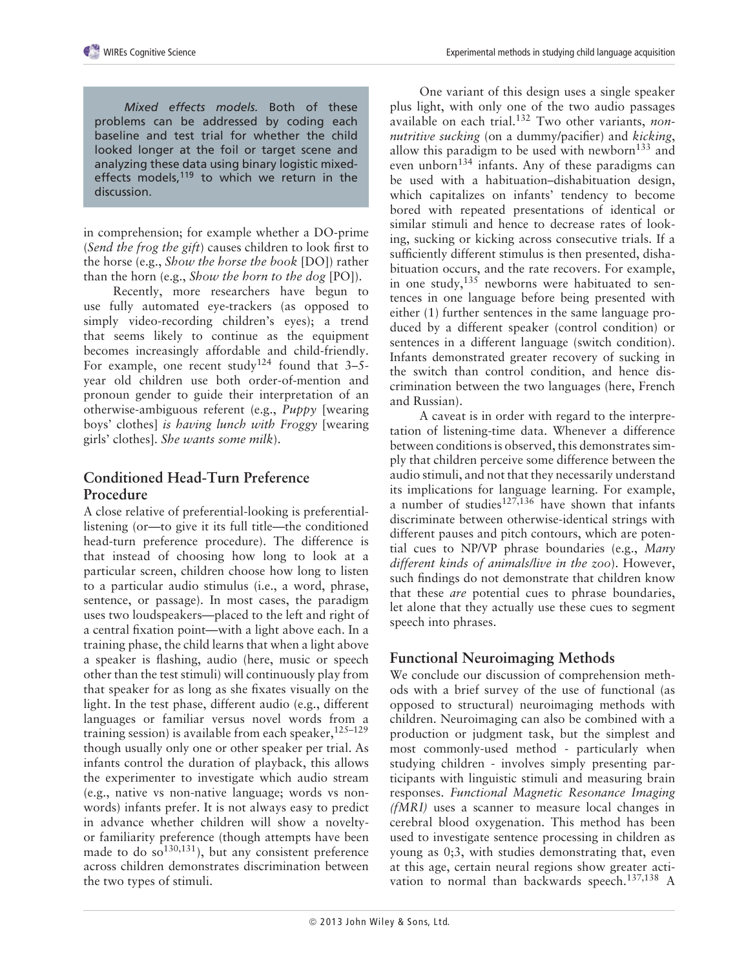*Mixed effects models.* Both of these problems can be addressed by coding each baseline and test trial for whether the child looked longer at the foil or target scene and analyzing these data using binary logistic mixedeffects models, $119$  to which we return in the discussion.

in comprehension; for example whether a DO-prime (*Send the frog the gift*) causes children to look first to the horse (e.g., *Show the horse the book* [DO]) rather than the horn (e.g., *Show the horn to the dog* [PO]).

Recently, more researchers have begun to use fully automated eye-trackers (as opposed to simply video-recording children's eyes); a trend that seems likely to continue as the equipment becomes increasingly affordable and child-friendly. For example, one recent study<sup>124</sup> found that  $3-5$ year old children use both order-of-mention and pronoun gender to guide their interpretation of an otherwise-ambiguous referent (e.g., *Puppy* [wearing boys' clothes] *is having lunch with Froggy* [wearing girls' clothes]. *She wants some milk*).

# **Conditioned Head-Turn Preference Procedure**

A close relative of preferential-looking is preferentiallistening (or—to give it its full title—the conditioned head-turn preference procedure). The difference is that instead of choosing how long to look at a particular screen, children choose how long to listen to a particular audio stimulus (i.e., a word, phrase, sentence, or passage). In most cases, the paradigm uses two loudspeakers—placed to the left and right of a central fixation point—with a light above each. In a training phase, the child learns that when a light above a speaker is flashing, audio (here, music or speech other than the test stimuli) will continuously play from that speaker for as long as she fixates visually on the light. In the test phase, different audio (e.g., different languages or familiar versus novel words from a training session) is available from each speaker,  $125-129$ though usually only one or other speaker per trial. As infants control the duration of playback, this allows the experimenter to investigate which audio stream (e.g., native vs non-native language; words vs nonwords) infants prefer. It is not always easy to predict in advance whether children will show a noveltyor familiarity preference (though attempts have been made to do  $so^{130,131}$ ), but any consistent preference across children demonstrates discrimination between the two types of stimuli.

One variant of this design uses a single speaker plus light, with only one of the two audio passages available on each trial.132 Two other variants, *nonnutritive sucking* (on a dummy/pacifier) and *kicking*, allow this paradigm to be used with newborn $^{133}$  and even unborn<sup>134</sup> infants. Any of these paradigms can be used with a habituation–dishabituation design, which capitalizes on infants' tendency to become bored with repeated presentations of identical or similar stimuli and hence to decrease rates of looking, sucking or kicking across consecutive trials. If a sufficiently different stimulus is then presented, dishabituation occurs, and the rate recovers. For example, in one study,  $135$  newborns were habituated to sentences in one language before being presented with either (1) further sentences in the same language produced by a different speaker (control condition) or sentences in a different language (switch condition). Infants demonstrated greater recovery of sucking in the switch than control condition, and hence discrimination between the two languages (here, French and Russian).

A caveat is in order with regard to the interpretation of listening-time data. Whenever a difference between conditions is observed, this demonstrates simply that children perceive some difference between the audio stimuli, and not that they necessarily understand its implications for language learning. For example, a number of studies<sup>127,136</sup> have shown that infants discriminate between otherwise-identical strings with different pauses and pitch contours, which are potential cues to NP/VP phrase boundaries (e.g., *Many different kinds of animals/live in the zoo*). However, such findings do not demonstrate that children know that these *are* potential cues to phrase boundaries, let alone that they actually use these cues to segment speech into phrases.

# **Functional Neuroimaging Methods**

We conclude our discussion of comprehension methods with a brief survey of the use of functional (as opposed to structural) neuroimaging methods with children. Neuroimaging can also be combined with a production or judgment task, but the simplest and most commonly-used method - particularly when studying children - involves simply presenting participants with linguistic stimuli and measuring brain responses. *Functional Magnetic Resonance Imaging (fMRI)* uses a scanner to measure local changes in cerebral blood oxygenation. This method has been used to investigate sentence processing in children as young as 0;3, with studies demonstrating that, even at this age, certain neural regions show greater activation to normal than backwards speech.137,138 A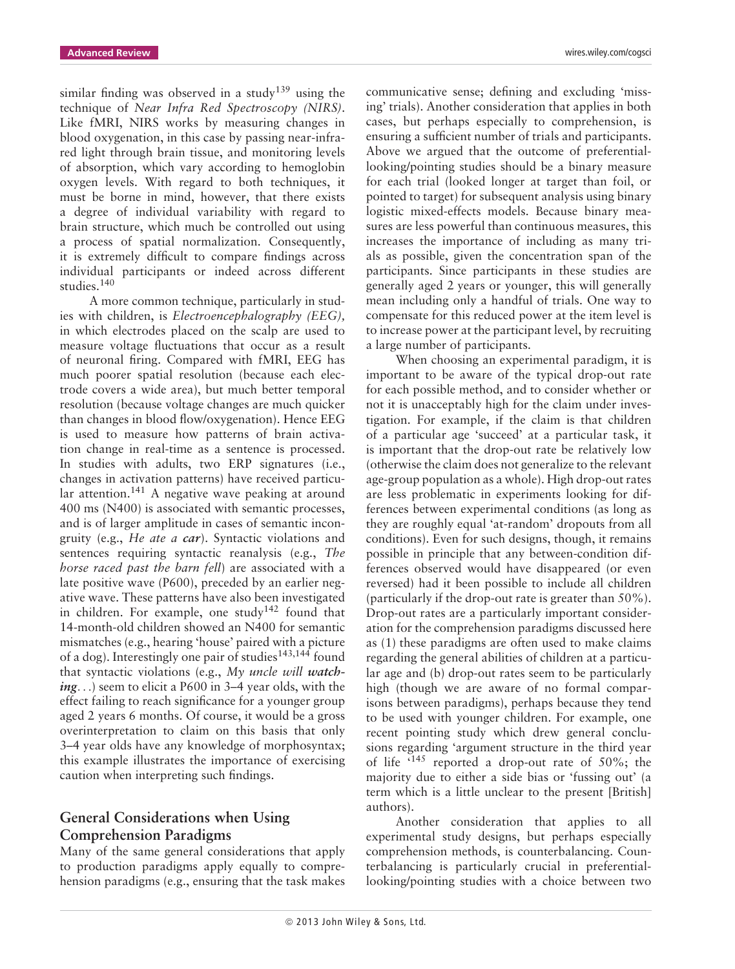similar finding was observed in a study<sup>139</sup> using the technique of *Near Infra Red Spectroscopy (NIRS)*. Like fMRI, NIRS works by measuring changes in blood oxygenation, in this case by passing near-infrared light through brain tissue, and monitoring levels of absorption, which vary according to hemoglobin oxygen levels. With regard to both techniques, it must be borne in mind, however, that there exists a degree of individual variability with regard to brain structure, which much be controlled out using a process of spatial normalization. Consequently, it is extremely difficult to compare findings across individual participants or indeed across different studies.<sup>140</sup>

A more common technique, particularly in studies with children, is *Electroencephalography (EEG),* in which electrodes placed on the scalp are used to measure voltage fluctuations that occur as a result of neuronal firing. Compared with fMRI, EEG has much poorer spatial resolution (because each electrode covers a wide area), but much better temporal resolution (because voltage changes are much quicker than changes in blood flow/oxygenation). Hence EEG is used to measure how patterns of brain activation change in real-time as a sentence is processed. In studies with adults, two ERP signatures (i.e., changes in activation patterns) have received particular attention.<sup>141</sup> A negative wave peaking at around 400 ms (N400) is associated with semantic processes, and is of larger amplitude in cases of semantic incongruity (e.g., *He ate a car*). Syntactic violations and sentences requiring syntactic reanalysis (e.g., *The horse raced past the barn fell*) are associated with a late positive wave (P600), preceded by an earlier negative wave. These patterns have also been investigated in children. For example, one study<sup>142</sup> found that 14-month-old children showed an N400 for semantic mismatches (e.g., hearing 'house' paired with a picture of a dog). Interestingly one pair of studies<sup>143,144</sup> found that syntactic violations (e.g., *My uncle will watching...*) seem to elicit a P600 in 3–4 year olds, with the effect failing to reach significance for a younger group aged 2 years 6 months. Of course, it would be a gross overinterpretation to claim on this basis that only 3–4 year olds have any knowledge of morphosyntax; this example illustrates the importance of exercising caution when interpreting such findings.

## **General Considerations when Using Comprehension Paradigms**

Many of the same general considerations that apply to production paradigms apply equally to comprehension paradigms (e.g., ensuring that the task makes communicative sense; defining and excluding 'missing' trials). Another consideration that applies in both cases, but perhaps especially to comprehension, is ensuring a sufficient number of trials and participants. Above we argued that the outcome of preferentiallooking/pointing studies should be a binary measure for each trial (looked longer at target than foil, or pointed to target) for subsequent analysis using binary logistic mixed-effects models. Because binary measures are less powerful than continuous measures, this increases the importance of including as many trials as possible, given the concentration span of the participants. Since participants in these studies are generally aged 2 years or younger, this will generally mean including only a handful of trials. One way to compensate for this reduced power at the item level is to increase power at the participant level, by recruiting a large number of participants.

When choosing an experimental paradigm, it is important to be aware of the typical drop-out rate for each possible method, and to consider whether or not it is unacceptably high for the claim under investigation. For example, if the claim is that children of a particular age 'succeed' at a particular task, it is important that the drop-out rate be relatively low (otherwise the claim does not generalize to the relevant age-group population as a whole). High drop-out rates are less problematic in experiments looking for differences between experimental conditions (as long as they are roughly equal 'at-random' dropouts from all conditions). Even for such designs, though, it remains possible in principle that any between-condition differences observed would have disappeared (or even reversed) had it been possible to include all children (particularly if the drop-out rate is greater than 50%). Drop-out rates are a particularly important consideration for the comprehension paradigms discussed here as (1) these paradigms are often used to make claims regarding the general abilities of children at a particular age and (b) drop-out rates seem to be particularly high (though we are aware of no formal comparisons between paradigms), perhaps because they tend to be used with younger children. For example, one recent pointing study which drew general conclusions regarding 'argument structure in the third year of life '<sup>145</sup> reported a drop-out rate of 50%; the majority due to either a side bias or 'fussing out' (a term which is a little unclear to the present [British] authors).

Another consideration that applies to all experimental study designs, but perhaps especially comprehension methods, is counterbalancing. Counterbalancing is particularly crucial in preferentiallooking/pointing studies with a choice between two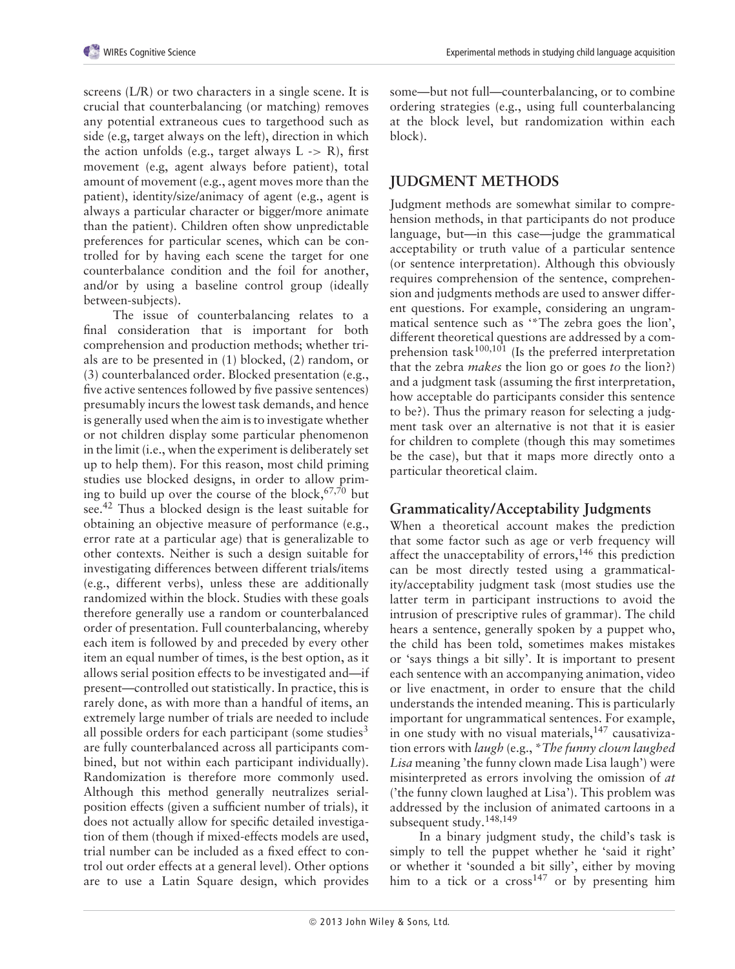screens (L/R) or two characters in a single scene. It is crucial that counterbalancing (or matching) removes any potential extraneous cues to targethood such as side (e.g, target always on the left), direction in which the action unfolds (e.g., target always L -*>* R), first movement (e.g, agent always before patient), total amount of movement (e.g., agent moves more than the patient), identity/size/animacy of agent (e.g., agent is always a particular character or bigger/more animate than the patient). Children often show unpredictable preferences for particular scenes, which can be controlled for by having each scene the target for one counterbalance condition and the foil for another, and/or by using a baseline control group (ideally between-subjects).

The issue of counterbalancing relates to a final consideration that is important for both comprehension and production methods; whether trials are to be presented in (1) blocked, (2) random, or (3) counterbalanced order. Blocked presentation (e.g., five active sentences followed by five passive sentences) presumably incurs the lowest task demands, and hence is generally used when the aim is to investigate whether or not children display some particular phenomenon in the limit (i.e., when the experiment is deliberately set up to help them). For this reason, most child priming studies use blocked designs, in order to allow priming to build up over the course of the block,  $67,70$  but see.<sup>42</sup> Thus a blocked design is the least suitable for obtaining an objective measure of performance (e.g., error rate at a particular age) that is generalizable to other contexts. Neither is such a design suitable for investigating differences between different trials/items (e.g., different verbs), unless these are additionally randomized within the block. Studies with these goals therefore generally use a random or counterbalanced order of presentation. Full counterbalancing, whereby each item is followed by and preceded by every other item an equal number of times, is the best option, as it allows serial position effects to be investigated and—if present—controlled out statistically. In practice, this is rarely done, as with more than a handful of items, an extremely large number of trials are needed to include all possible orders for each participant (some studies<sup>3</sup> are fully counterbalanced across all participants combined, but not within each participant individually). Randomization is therefore more commonly used. Although this method generally neutralizes serialposition effects (given a sufficient number of trials), it does not actually allow for specific detailed investigation of them (though if mixed-effects models are used, trial number can be included as a fixed effect to control out order effects at a general level). Other options are to use a Latin Square design, which provides some—but not full—counterbalancing, or to combine ordering strategies (e.g., using full counterbalancing at the block level, but randomization within each block).

# **JUDGMENT METHODS**

Judgment methods are somewhat similar to comprehension methods, in that participants do not produce language, but—in this case—judge the grammatical acceptability or truth value of a particular sentence (or sentence interpretation). Although this obviously requires comprehension of the sentence, comprehension and judgments methods are used to answer different questions. For example, considering an ungrammatical sentence such as '\*The zebra goes the lion', different theoretical questions are addressed by a comprehension task<sup>100,101</sup> (Is the preferred interpretation that the zebra *makes* the lion go or goes *to* the lion?) and a judgment task (assuming the first interpretation, how acceptable do participants consider this sentence to be?). Thus the primary reason for selecting a judgment task over an alternative is not that it is easier for children to complete (though this may sometimes be the case), but that it maps more directly onto a particular theoretical claim.

# **Grammaticality/Acceptability Judgments**

When a theoretical account makes the prediction that some factor such as age or verb frequency will affect the unacceptability of errors,<sup>146</sup> this prediction can be most directly tested using a grammaticality/acceptability judgment task (most studies use the latter term in participant instructions to avoid the intrusion of prescriptive rules of grammar). The child hears a sentence, generally spoken by a puppet who, the child has been told, sometimes makes mistakes or 'says things a bit silly'. It is important to present each sentence with an accompanying animation, video or live enactment, in order to ensure that the child understands the intended meaning. This is particularly important for ungrammatical sentences. For example, in one study with no visual materials,  $147$  causativization errors with *laugh* (e.g., \**The funny clown laughed Lisa* meaning 'the funny clown made Lisa laugh') were misinterpreted as errors involving the omission of *at* ('the funny clown laughed at Lisa'). This problem was addressed by the inclusion of animated cartoons in a subsequent study.148,149

In a binary judgment study, the child's task is simply to tell the puppet whether he 'said it right' or whether it 'sounded a bit silly', either by moving him to a tick or a  $\text{cross}^{147}$  or by presenting him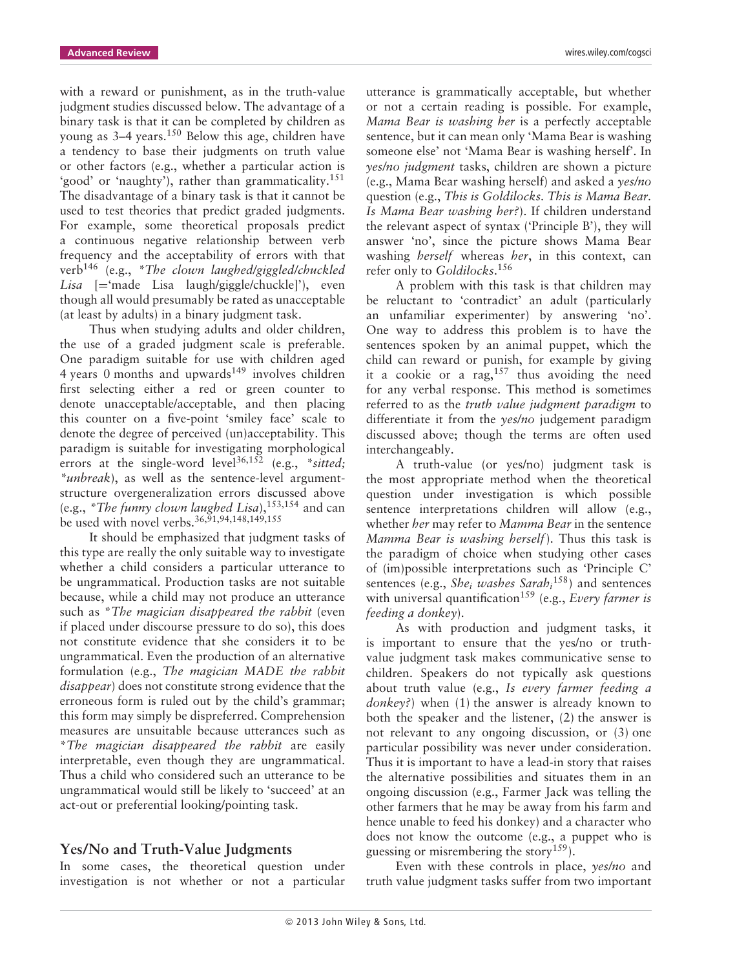with a reward or punishment, as in the truth-value judgment studies discussed below. The advantage of a binary task is that it can be completed by children as young as  $3-4$  years.<sup>150</sup> Below this age, children have a tendency to base their judgments on truth value or other factors (e.g., whether a particular action is 'good' or 'naughty'), rather than grammaticality.151 The disadvantage of a binary task is that it cannot be used to test theories that predict graded judgments. For example, some theoretical proposals predict a continuous negative relationship between verb frequency and the acceptability of errors with that verb<sup>146</sup> (e.g., *\*The clown laughed/giggled/chuckled Lisa* [='made Lisa laugh/giggle/chuckle]'), even though all would presumably be rated as unacceptable (at least by adults) in a binary judgment task.

Thus when studying adults and older children, the use of a graded judgment scale is preferable. One paradigm suitable for use with children aged 4 years 0 months and upwards $149$  involves children first selecting either a red or green counter to denote unacceptable/acceptable, and then placing this counter on a five-point 'smiley face' scale to denote the degree of perceived (un)acceptability. This paradigm is suitable for investigating morphological errors at the single-word level<sup>36,152</sup> (e.g., *\*sitted*; *\*unbreak*), as well as the sentence-level argumentstructure overgeneralization errors discussed above (e.g., *\*The funny clown laughed Lisa*),153,154 and can be used with novel verbs.<sup>36,91,94,148,149</sup>,155

It should be emphasized that judgment tasks of this type are really the only suitable way to investigate whether a child considers a particular utterance to be ungrammatical. Production tasks are not suitable because, while a child may not produce an utterance such as \**The magician disappeared the rabbit* (even if placed under discourse pressure to do so), this does not constitute evidence that she considers it to be ungrammatical. Even the production of an alternative formulation (e.g., *The magician MADE the rabbit disappear*) does not constitute strong evidence that the erroneous form is ruled out by the child's grammar; this form may simply be dispreferred. Comprehension measures are unsuitable because utterances such as \**The magician disappeared the rabbit* are easily interpretable, even though they are ungrammatical. Thus a child who considered such an utterance to be ungrammatical would still be likely to 'succeed' at an act-out or preferential looking/pointing task.

#### **Yes/No and Truth-Value Judgments**

In some cases, the theoretical question under investigation is not whether or not a particular

utterance is grammatically acceptable, but whether or not a certain reading is possible. For example, *Mama Bear is washing her* is a perfectly acceptable sentence, but it can mean only 'Mama Bear is washing someone else' not 'Mama Bear is washing herself'. In *yes/no judgment* tasks, children are shown a picture (e.g., Mama Bear washing herself) and asked a *yes/no* question (e.g., *This is Goldilocks. This is Mama Bear. Is Mama Bear washing her?*). If children understand the relevant aspect of syntax ('Principle B'), they will answer 'no', since the picture shows Mama Bear washing *herself* whereas *her*, in this context, can refer only to *Goldilocks*. 156

A problem with this task is that children may be reluctant to 'contradict' an adult (particularly an unfamiliar experimenter) by answering 'no'. One way to address this problem is to have the sentences spoken by an animal puppet, which the child can reward or punish, for example by giving it a cookie or a rag,  $157$  thus avoiding the need for any verbal response. This method is sometimes referred to as the *truth value judgment paradigm* to differentiate it from the *yes/no* judgement paradigm discussed above; though the terms are often used interchangeably.

A truth-value (or yes/no) judgment task is the most appropriate method when the theoretical question under investigation is which possible sentence interpretations children will allow (e.g., whether *her* may refer to *Mamma Bear* in the sentence *Mamma Bear is washing herself*). Thus this task is the paradigm of choice when studying other cases of (im)possible interpretations such as 'Principle C' sentences (e.g., *Shei washes Sarahi* 158) and sentences with universal quantification<sup>159</sup> (e.g., *Every farmer is feeding a donkey*).

As with production and judgment tasks, it is important to ensure that the yes/no or truthvalue judgment task makes communicative sense to children. Speakers do not typically ask questions about truth value (e.g., *Is every farmer feeding a donkey?*) when (1) the answer is already known to both the speaker and the listener, (2) the answer is not relevant to any ongoing discussion, or (3) one particular possibility was never under consideration. Thus it is important to have a lead-in story that raises the alternative possibilities and situates them in an ongoing discussion (e.g., Farmer Jack was telling the other farmers that he may be away from his farm and hence unable to feed his donkey) and a character who does not know the outcome (e.g., a puppet who is guessing or misrembering the story<sup>159</sup>).

Even with these controls in place, *yes/no* and truth value judgment tasks suffer from two important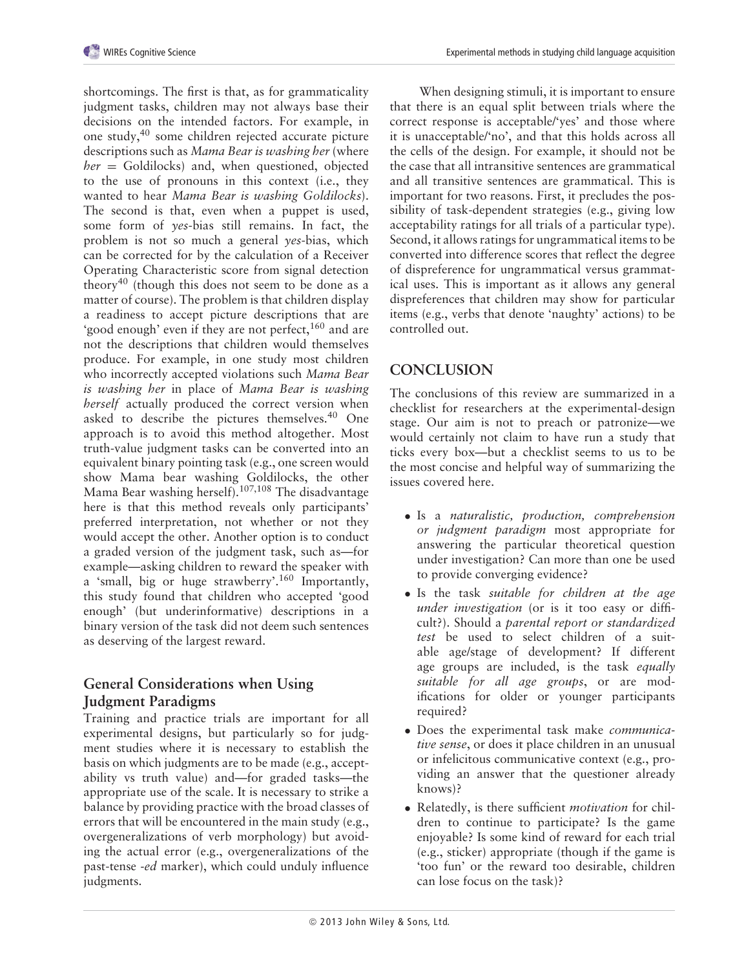shortcomings. The first is that, as for grammaticality judgment tasks, children may not always base their decisions on the intended factors. For example, in one study,40 some children rejected accurate picture descriptions such as *Mama Bear is washing her* (where *her* = Goldilocks) and, when questioned, objected to the use of pronouns in this context (i.e., they wanted to hear *Mama Bear is washing Goldilocks*). The second is that, even when a puppet is used, some form of *yes*-bias still remains. In fact, the problem is not so much a general *yes*-bias, which can be corrected for by the calculation of a Receiver Operating Characteristic score from signal detection theory<sup>40</sup> (though this does not seem to be done as a matter of course). The problem is that children display a readiness to accept picture descriptions that are 'good enough' even if they are not perfect,  $160$  and are not the descriptions that children would themselves produce. For example, in one study most children who incorrectly accepted violations such *Mama Bear is washing her* in place of *Mama Bear is washing herself* actually produced the correct version when asked to describe the pictures themselves.<sup>40</sup> One approach is to avoid this method altogether. Most truth-value judgment tasks can be converted into an equivalent binary pointing task (e.g., one screen would show Mama bear washing Goldilocks, the other Mama Bear washing herself).107,108 The disadvantage here is that this method reveals only participants' preferred interpretation, not whether or not they would accept the other. Another option is to conduct a graded version of the judgment task, such as—for example—asking children to reward the speaker with a 'small, big or huge strawberry'.<sup>160</sup> Importantly, this study found that children who accepted 'good enough' (but underinformative) descriptions in a binary version of the task did not deem such sentences as deserving of the largest reward.

## **General Considerations when Using Judgment Paradigms**

Training and practice trials are important for all experimental designs, but particularly so for judgment studies where it is necessary to establish the basis on which judgments are to be made (e.g., acceptability vs truth value) and—for graded tasks—the appropriate use of the scale. It is necessary to strike a balance by providing practice with the broad classes of errors that will be encountered in the main study (e.g., overgeneralizations of verb morphology) but avoiding the actual error (e.g., overgeneralizations of the past-tense *-ed* marker), which could unduly influence judgments.

When designing stimuli, it is important to ensure that there is an equal split between trials where the correct response is acceptable/'yes' and those where it is unacceptable/'no', and that this holds across all the cells of the design. For example, it should not be the case that all intransitive sentences are grammatical and all transitive sentences are grammatical. This is important for two reasons. First, it precludes the possibility of task-dependent strategies (e.g., giving low acceptability ratings for all trials of a particular type). Second, it allows ratings for ungrammatical items to be converted into difference scores that reflect the degree of dispreference for ungrammatical versus grammatical uses. This is important as it allows any general dispreferences that children may show for particular items (e.g., verbs that denote 'naughty' actions) to be controlled out.

# **CONCLUSION**

The conclusions of this review are summarized in a checklist for researchers at the experimental-design stage. Our aim is not to preach or patronize—we would certainly not claim to have run a study that ticks every box—but a checklist seems to us to be the most concise and helpful way of summarizing the issues covered here.

- Is a *naturalistic, production, comprehension or judgment paradigm* most appropriate for answering the particular theoretical question under investigation? Can more than one be used to provide converging evidence?
- Is the task *suitable for children at the age under investigation* (or is it too easy or difficult?). Should a *parental report or standardized test* be used to select children of a suitable age/stage of development? If different age groups are included, is the task *equally suitable for all age groups*, or are modifications for older or younger participants required?
- Does the experimental task make *communicative sense*, or does it place children in an unusual or infelicitous communicative context (e.g., providing an answer that the questioner already knows)?
- Relatedly, is there sufficient *motivation* for children to continue to participate? Is the game enjoyable? Is some kind of reward for each trial (e.g., sticker) appropriate (though if the game is 'too fun' or the reward too desirable, children can lose focus on the task)?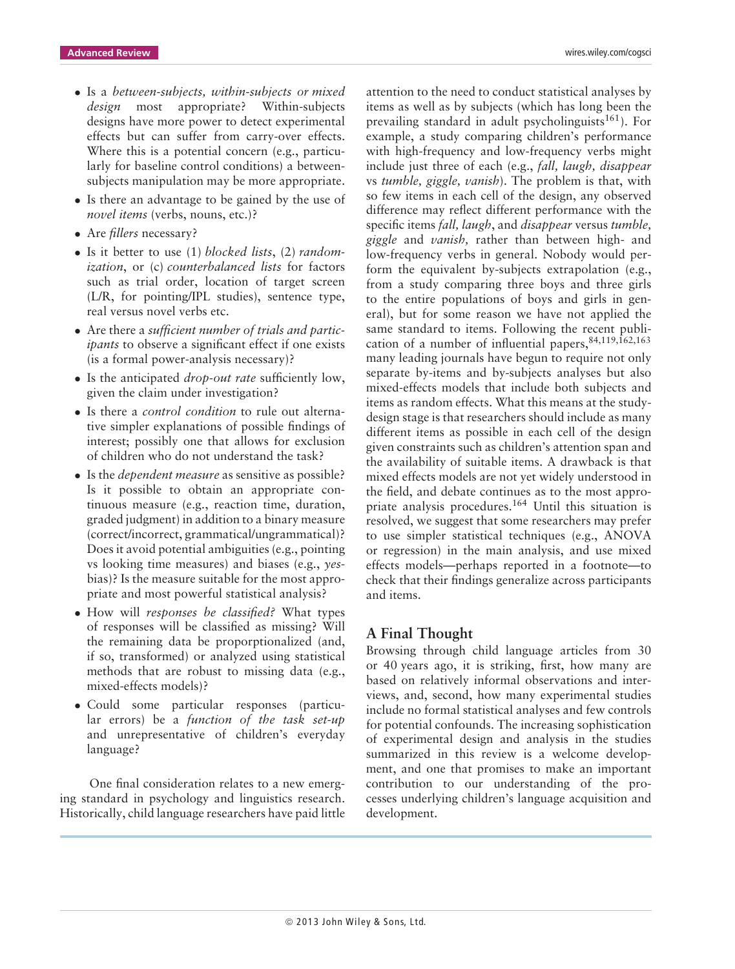- Is a *between-subjects, within-subjects or mixed design* most appropriate? Within-subjects designs have more power to detect experimental effects but can suffer from carry-over effects. Where this is a potential concern (e.g., particularly for baseline control conditions) a betweensubjects manipulation may be more appropriate.
- Is there an advantage to be gained by the use of *novel items* (verbs, nouns, etc.)?
- Are *fillers* necessary?
- Is it better to use (1) *blocked lists*, (2) *randomization*, or (c) *counterbalanced lists* for factors such as trial order, location of target screen (L/R, for pointing/IPL studies), sentence type, real versus novel verbs etc.
- Are there a *sufficient number of trials and participants* to observe a significant effect if one exists (is a formal power-analysis necessary)?
- Is the anticipated *drop-out rate* sufficiently low, given the claim under investigation?
- Is there a *control condition* to rule out alternative simpler explanations of possible findings of interest; possibly one that allows for exclusion of children who do not understand the task?
- Is the *dependent measure* as sensitive as possible? Is it possible to obtain an appropriate continuous measure (e.g., reaction time, duration, graded judgment) in addition to a binary measure (correct/incorrect, grammatical/ungrammatical)? Does it avoid potential ambiguities (e.g., pointing vs looking time measures) and biases (e.g., *yes*bias)? Is the measure suitable for the most appropriate and most powerful statistical analysis?
- How will *responses be classified?* What types of responses will be classified as missing? Will the remaining data be proporptionalized (and, if so, transformed) or analyzed using statistical methods that are robust to missing data (e.g., mixed-effects models)?
- Could some particular responses (particular errors) be a *function of the task set-up* and unrepresentative of children's everyday language?

One final consideration relates to a new emerging standard in psychology and linguistics research. Historically, child language researchers have paid little attention to the need to conduct statistical analyses by items as well as by subjects (which has long been the prevailing standard in adult psycholinguists $161$ ). For example, a study comparing children's performance with high-frequency and low-frequency verbs might include just three of each (e.g., *fall, laugh, disappear* vs *tumble, giggle, vanish*). The problem is that, with so few items in each cell of the design, any observed difference may reflect different performance with the specific items *fall, laugh*, and *disappear* versus *tumble, giggle* and *vanish,* rather than between high- and low-frequency verbs in general. Nobody would perform the equivalent by-subjects extrapolation (e.g., from a study comparing three boys and three girls to the entire populations of boys and girls in general), but for some reason we have not applied the same standard to items. Following the recent publication of a number of influential papers,  $84,119,162,163$ many leading journals have begun to require not only separate by-items and by-subjects analyses but also mixed-effects models that include both subjects and items as random effects. What this means at the studydesign stage is that researchers should include as many different items as possible in each cell of the design given constraints such as children's attention span and the availability of suitable items. A drawback is that mixed effects models are not yet widely understood in the field, and debate continues as to the most appropriate analysis procedures.164 Until this situation is resolved, we suggest that some researchers may prefer to use simpler statistical techniques (e.g., ANOVA or regression) in the main analysis, and use mixed effects models—perhaps reported in a footnote—to check that their findings generalize across participants and items.

#### **A Final Thought**

Browsing through child language articles from 30 or 40 years ago, it is striking, first, how many are based on relatively informal observations and interviews, and, second, how many experimental studies include no formal statistical analyses and few controls for potential confounds. The increasing sophistication of experimental design and analysis in the studies summarized in this review is a welcome development, and one that promises to make an important contribution to our understanding of the processes underlying children's language acquisition and development.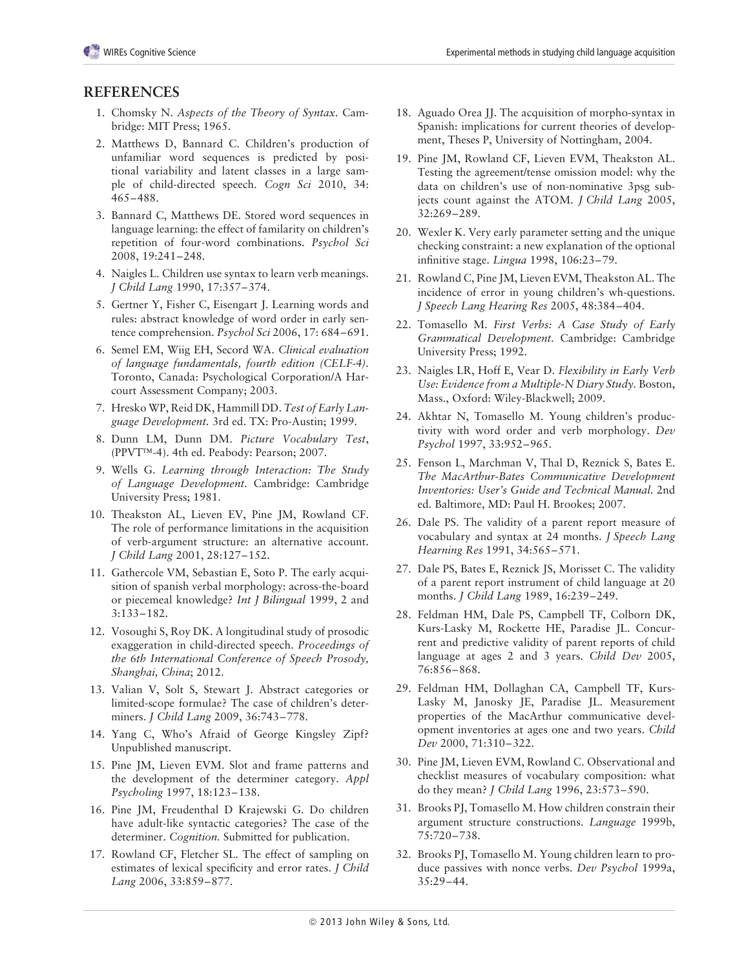## **REFERENCES**

- 1. Chomsky N. *Aspects of the Theory of Syntax.* Cambridge: MIT Press; 1965.
- 2. Matthews D, Bannard C. Children's production of unfamiliar word sequences is predicted by positional variability and latent classes in a large sample of child-directed speech. *Cogn Sci* 2010, 34: 465–488.
- 3. Bannard C, Matthews DE. Stored word sequences in language learning: the effect of familarity on children's repetition of four-word combinations. *Psychol Sci* 2008, 19:241–248.
- 4. Naigles L. Children use syntax to learn verb meanings. *J Child Lang* 1990, 17:357–374.
- 5. Gertner Y, Fisher C, Eisengart J. Learning words and rules: abstract knowledge of word order in early sentence comprehension. *Psychol Sci* 2006, 17: 684–691.
- 6. Semel EM, Wiig EH, Secord WA. *Clinical evaluation of language fundamentals, fourth edition (CELF-4).* Toronto, Canada: Psychological Corporation/A Harcourt Assessment Company; 2003.
- 7. Hresko WP, Reid DK, Hammill DD. *Test of Early Language Development.* 3rd ed. TX: Pro-Austin; 1999.
- 8. Dunn LM, Dunn DM. *Picture Vocabulary Test*, (PPVT™-4). 4th ed. Peabody: Pearson; 2007.
- 9. Wells G. *Learning through Interaction: The Study of Language Development.* Cambridge: Cambridge University Press; 1981.
- 10. Theakston AL, Lieven EV, Pine JM, Rowland CF. The role of performance limitations in the acquisition of verb-argument structure: an alternative account. *J Child Lang* 2001, 28:127–152.
- 11. Gathercole VM, Sebastian E, Soto P. The early acquisition of spanish verbal morphology: across-the-board or piecemeal knowledge? *Int J Bilingual* 1999, 2 and 3:133–182.
- 12. Vosoughi S, Roy DK. A longitudinal study of prosodic exaggeration in child-directed speech. *Proceedings of the 6th International Conference of Speech Prosody, Shanghai, China*; 2012.
- 13. Valian V, Solt S, Stewart J. Abstract categories or limited-scope formulae? The case of children's determiners. *J Child Lang* 2009, 36:743–778.
- 14. Yang C, Who's Afraid of George Kingsley Zipf? Unpublished manuscript.
- 15. Pine JM, Lieven EVM. Slot and frame patterns and the development of the determiner category. *Appl Psycholing* 1997, 18:123–138.
- 16. Pine JM, Freudenthal D Krajewski G. Do children have adult-like syntactic categories? The case of the determiner. *Cognition.* Submitted for publication.
- 17. Rowland CF, Fletcher SL. The effect of sampling on estimates of lexical specificity and error rates. *J Child Lang* 2006, 33:859–877.
- 18. Aguado Orea JJ. The acquisition of morpho-syntax in Spanish: implications for current theories of development, Theses P, University of Nottingham, 2004.
- 19. Pine JM, Rowland CF, Lieven EVM, Theakston AL. Testing the agreement/tense omission model: why the data on children's use of non-nominative 3psg subjects count against the ATOM. *J Child Lang* 2005, 32:269–289.
- 20. Wexler K. Very early parameter setting and the unique checking constraint: a new explanation of the optional infinitive stage. *Lingua* 1998, 106:23–79.
- 21. Rowland C, Pine JM, Lieven EVM, Theakston AL. The incidence of error in young children's wh-questions. *J Speech Lang Hearing Res* 2005, 48:384–404.
- 22. Tomasello M. *First Verbs: A Case Study of Early Grammatical Development.* Cambridge: Cambridge University Press; 1992.
- 23. Naigles LR, Hoff E, Vear D. *Flexibility in Early Verb Use: Evidence from a Multiple-N Diary Study.* Boston, Mass., Oxford: Wiley-Blackwell; 2009.
- 24. Akhtar N, Tomasello M. Young children's productivity with word order and verb morphology. *Dev Psychol* 1997, 33:952–965.
- 25. Fenson L, Marchman V, Thal D, Reznick S, Bates E. *The MacArthur-Bates Communicative Development Inventories: User's Guide and Technical Manual.* 2nd ed. Baltimore, MD: Paul H. Brookes; 2007.
- 26. Dale PS. The validity of a parent report measure of vocabulary and syntax at 24 months. *J Speech Lang Hearning Res* 1991, 34:565–571.
- 27. Dale PS, Bates E, Reznick JS, Morisset C. The validity of a parent report instrument of child language at 20 months. *J Child Lang* 1989, 16:239–249.
- 28. Feldman HM, Dale PS, Campbell TF, Colborn DK, Kurs-Lasky M, Rockette HE, Paradise JL. Concurrent and predictive validity of parent reports of child language at ages 2 and 3 years. *Child Dev* 2005, 76:856–868.
- 29. Feldman HM, Dollaghan CA, Campbell TF, Kurs-Lasky M, Janosky JE, Paradise JL. Measurement properties of the MacArthur communicative development inventories at ages one and two years. *Child Dev* 2000, 71:310–322.
- 30. Pine JM, Lieven EVM, Rowland C. Observational and checklist measures of vocabulary composition: what do they mean? *J Child Lang* 1996, 23:573–590.
- 31. Brooks PJ, Tomasello M. How children constrain their argument structure constructions. *Language* 1999b, 75:720–738.
- 32. Brooks PJ, Tomasello M. Young children learn to produce passives with nonce verbs. *Dev Psychol* 1999a, 35:29–44.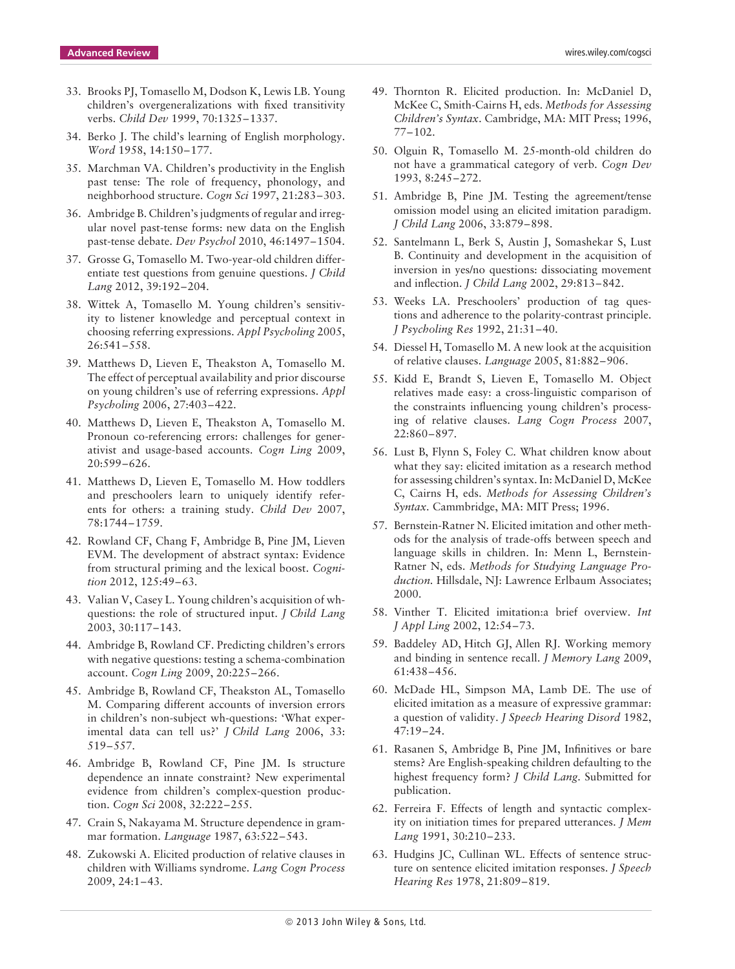- 33. Brooks PJ, Tomasello M, Dodson K, Lewis LB. Young children's overgeneralizations with fixed transitivity verbs. *Child Dev* 1999, 70:1325–1337.
- 34. Berko J. The child's learning of English morphology. *Word* 1958, 14:150–177.
- 35. Marchman VA. Children's productivity in the English past tense: The role of frequency, phonology, and neighborhood structure. *Cogn Sci* 1997, 21:283–303.
- 36. Ambridge B. Children's judgments of regular and irregular novel past-tense forms: new data on the English past-tense debate. *Dev Psychol* 2010, 46:1497–1504.
- 37. Grosse G, Tomasello M. Two-year-old children differentiate test questions from genuine questions. *J Child Lang* 2012, 39:192–204.
- 38. Wittek A, Tomasello M. Young children's sensitivity to listener knowledge and perceptual context in choosing referring expressions. *Appl Psycholing* 2005, 26:541–558.
- 39. Matthews D, Lieven E, Theakston A, Tomasello M. The effect of perceptual availability and prior discourse on young children's use of referring expressions. *Appl Psycholing* 2006, 27:403–422.
- 40. Matthews D, Lieven E, Theakston A, Tomasello M. Pronoun co-referencing errors: challenges for generativist and usage-based accounts. *Cogn Ling* 2009, 20:599–626.
- 41. Matthews D, Lieven E, Tomasello M. How toddlers and preschoolers learn to uniquely identify referents for others: a training study. *Child Dev* 2007, 78:1744–1759.
- 42. Rowland CF, Chang F, Ambridge B, Pine JM, Lieven EVM. The development of abstract syntax: Evidence from structural priming and the lexical boost. *Cognition* 2012, 125:49–63.
- 43. Valian V, Casey L. Young children's acquisition of whquestions: the role of structured input. *J Child Lang* 2003, 30:117–143.
- 44. Ambridge B, Rowland CF. Predicting children's errors with negative questions: testing a schema-combination account. *Cogn Ling* 2009, 20:225–266.
- 45. Ambridge B, Rowland CF, Theakston AL, Tomasello M. Comparing different accounts of inversion errors in children's non-subject wh-questions: 'What experimental data can tell us?' *J Child Lang* 2006, 33: 519–557.
- 46. Ambridge B, Rowland CF, Pine JM. Is structure dependence an innate constraint? New experimental evidence from children's complex-question production. *Cogn Sci* 2008, 32:222–255.
- 47. Crain S, Nakayama M. Structure dependence in grammar formation. *Language* 1987, 63:522–543.
- 48. Zukowski A. Elicited production of relative clauses in children with Williams syndrome. *Lang Cogn Process* 2009, 24:1–43.
- 49. Thornton R. Elicited production. In: McDaniel D, McKee C, Smith-Cairns H, eds. *Methods for Assessing Children's Syntax*. Cambridge, MA: MIT Press; 1996, 77–102.
- 50. Olguin R, Tomasello M. 25-month-old children do not have a grammatical category of verb. *Cogn Dev* 1993, 8:245–272.
- 51. Ambridge B, Pine JM. Testing the agreement/tense omission model using an elicited imitation paradigm. *J Child Lang* 2006, 33:879–898.
- 52. Santelmann L, Berk S, Austin J, Somashekar S, Lust B. Continuity and development in the acquisition of inversion in yes/no questions: dissociating movement and inflection. *J Child Lang* 2002, 29:813–842.
- 53. Weeks LA. Preschoolers' production of tag questions and adherence to the polarity-contrast principle. *J Psycholing Res* 1992, 21:31–40.
- 54. Diessel H, Tomasello M. A new look at the acquisition of relative clauses. *Language* 2005, 81:882–906.
- 55. Kidd E, Brandt S, Lieven E, Tomasello M. Object relatives made easy: a cross-linguistic comparison of the constraints influencing young children's processing of relative clauses. *Lang Cogn Process* 2007, 22:860–897.
- 56. Lust B, Flynn S, Foley C. What children know about what they say: elicited imitation as a research method for assessing children's syntax. In: McDaniel D, McKee C, Cairns H, eds. *Methods for Assessing Children's Syntax.* Cammbridge, MA: MIT Press; 1996.
- 57. Bernstein-Ratner N. Elicited imitation and other methods for the analysis of trade-offs between speech and language skills in children. In: Menn L, Bernstein-Ratner N, eds. *Methods for Studying Language Production.* Hillsdale, NJ: Lawrence Erlbaum Associates; 2000.
- 58. Vinther T. Elicited imitation:a brief overview. *Int J Appl Ling* 2002, 12:54–73.
- 59. Baddeley AD, Hitch GJ, Allen RJ. Working memory and binding in sentence recall. *J Memory Lang* 2009, 61:438–456.
- 60. McDade HL, Simpson MA, Lamb DE. The use of elicited imitation as a measure of expressive grammar: a question of validity. *J Speech Hearing Disord* 1982, 47:19–24.
- 61. Rasanen S, Ambridge B, Pine JM, Infinitives or bare stems? Are English-speaking children defaulting to the highest frequency form? *J Child Lang.* Submitted for publication.
- 62. Ferreira F. Effects of length and syntactic complexity on initiation times for prepared utterances. *J Mem Lang* 1991, 30:210–233.
- 63. Hudgins JC, Cullinan WL. Effects of sentence structure on sentence elicited imitation responses. *J Speech Hearing Res* 1978, 21:809–819.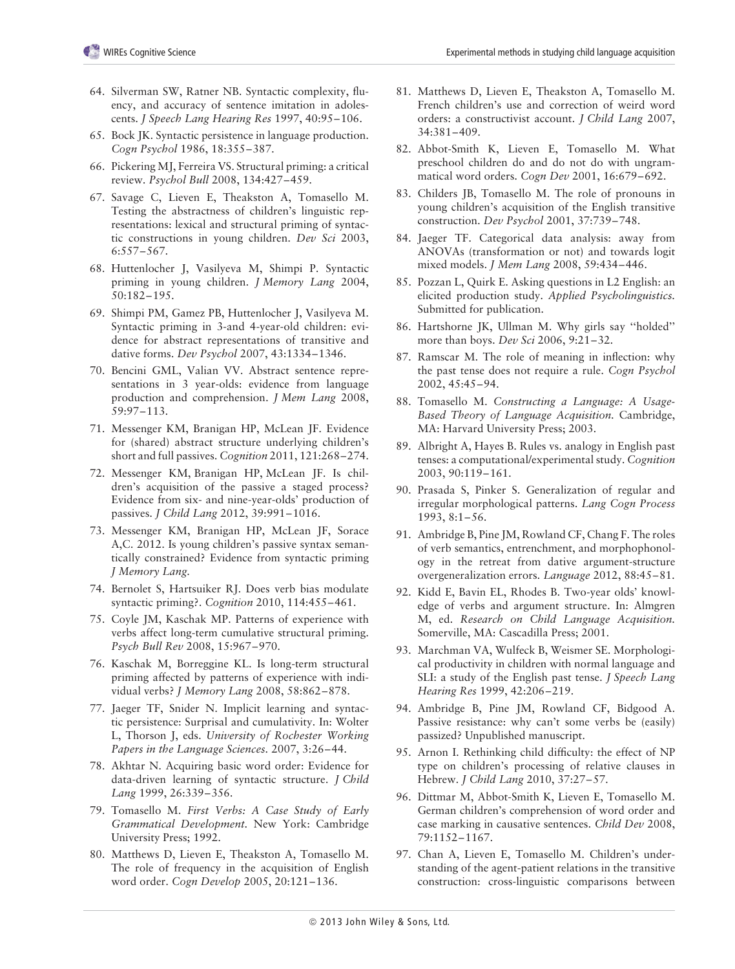- 64. Silverman SW, Ratner NB. Syntactic complexity, fluency, and accuracy of sentence imitation in adolescents. *J Speech Lang Hearing Res* 1997, 40:95–106.
- 65. Bock JK. Syntactic persistence in language production. *Cogn Psychol* 1986, 18:355–387.
- 66. Pickering MJ, Ferreira VS. Structural priming: a critical review. *Psychol Bull* 2008, 134:427–459.
- 67. Savage C, Lieven E, Theakston A, Tomasello M. Testing the abstractness of children's linguistic representations: lexical and structural priming of syntactic constructions in young children. *Dev Sci* 2003, 6:557–567.
- 68. Huttenlocher J, Vasilyeva M, Shimpi P. Syntactic priming in young children. *J Memory Lang* 2004, 50:182–195.
- 69. Shimpi PM, Gamez PB, Huttenlocher J, Vasilyeva M. Syntactic priming in 3-and 4-year-old children: evidence for abstract representations of transitive and dative forms. *Dev Psychol* 2007, 43:1334–1346.
- 70. Bencini GML, Valian VV. Abstract sentence representations in 3 year-olds: evidence from language production and comprehension. *J Mem Lang* 2008, 59:97–113.
- 71. Messenger KM, Branigan HP, McLean JF. Evidence for (shared) abstract structure underlying children's short and full passives. *Cognition* 2011, 121:268–274.
- 72. Messenger KM, Branigan HP, McLean JF. Is children's acquisition of the passive a staged process? Evidence from six- and nine-year-olds' production of passives. *J Child Lang* 2012, 39:991–1016.
- 73. Messenger KM, Branigan HP, McLean JF, Sorace A,C. 2012. Is young children's passive syntax semantically constrained? Evidence from syntactic priming *J Memory Lang.*
- 74. Bernolet S, Hartsuiker RJ. Does verb bias modulate syntactic priming?. *Cognition* 2010, 114:455–461.
- 75. Coyle JM, Kaschak MP. Patterns of experience with verbs affect long-term cumulative structural priming. *Psych Bull Rev* 2008, 15:967–970.
- 76. Kaschak M, Borreggine KL. Is long-term structural priming affected by patterns of experience with individual verbs? *J Memory Lang* 2008, 58:862–878.
- 77. Jaeger TF, Snider N. Implicit learning and syntactic persistence: Surprisal and cumulativity. In: Wolter L, Thorson J, eds. *University of Rochester Working Papers in the Language Sciences.* 2007, 3:26–44.
- 78. Akhtar N. Acquiring basic word order: Evidence for data-driven learning of syntactic structure. *J Child Lang* 1999, 26:339–356.
- 79. Tomasello M. *First Verbs: A Case Study of Early Grammatical Development.* New York: Cambridge University Press; 1992.
- 80. Matthews D, Lieven E, Theakston A, Tomasello M. The role of frequency in the acquisition of English word order. *Cogn Develop* 2005, 20:121–136.
- 81. Matthews D, Lieven E, Theakston A, Tomasello M. French children's use and correction of weird word orders: a constructivist account. *J Child Lang* 2007, 34:381–409.
- 82. Abbot-Smith K, Lieven E, Tomasello M. What preschool children do and do not do with ungrammatical word orders. *Cogn Dev* 2001, 16:679–692.
- 83. Childers JB, Tomasello M. The role of pronouns in young children's acquisition of the English transitive construction. *Dev Psychol* 2001, 37:739–748.
- 84. Jaeger TF. Categorical data analysis: away from ANOVAs (transformation or not) and towards logit mixed models. *J Mem Lang* 2008, 59:434–446.
- 85. Pozzan L, Quirk E. Asking questions in L2 English: an elicited production study. *Applied Psycholinguistics.* Submitted for publication.
- 86. Hartshorne JK, Ullman M. Why girls say ''holded'' more than boys. *Dev Sci* 2006, 9:21–32.
- 87. Ramscar M. The role of meaning in inflection: why the past tense does not require a rule. *Cogn Psychol* 2002, 45:45–94.
- 88. Tomasello M. *Constructing a Language: A Usage-Based Theory of Language Acquisition.* Cambridge, MA: Harvard University Press; 2003.
- 89. Albright A, Hayes B. Rules vs. analogy in English past tenses: a computational/experimental study. *Cognition* 2003, 90:119–161.
- 90. Prasada S, Pinker S. Generalization of regular and irregular morphological patterns. *Lang Cogn Process* 1993, 8:1–56.
- 91. Ambridge B, Pine JM, Rowland CF, Chang F. The roles of verb semantics, entrenchment, and morphophonology in the retreat from dative argument-structure overgeneralization errors. *Language* 2012, 88:45–81.
- 92. Kidd E, Bavin EL, Rhodes B. Two-year olds' knowledge of verbs and argument structure. In: Almgren M, ed. *Research on Child Language Acquisition.* Somerville, MA: Cascadilla Press; 2001.
- 93. Marchman VA, Wulfeck B, Weismer SE. Morphological productivity in children with normal language and SLI: a study of the English past tense. *J Speech Lang Hearing Res* 1999, 42:206–219.
- 94. Ambridge B, Pine JM, Rowland CF, Bidgood A. Passive resistance: why can't some verbs be (easily) passized? Unpublished manuscript.
- 95. Arnon I. Rethinking child difficulty: the effect of NP type on children's processing of relative clauses in Hebrew. *J Child Lang* 2010, 37:27–57.
- 96. Dittmar M, Abbot-Smith K, Lieven E, Tomasello M. German children's comprehension of word order and case marking in causative sentences. *Child Dev* 2008, 79:1152–1167.
- 97. Chan A, Lieven E, Tomasello M. Children's understanding of the agent-patient relations in the transitive construction: cross-linguistic comparisons between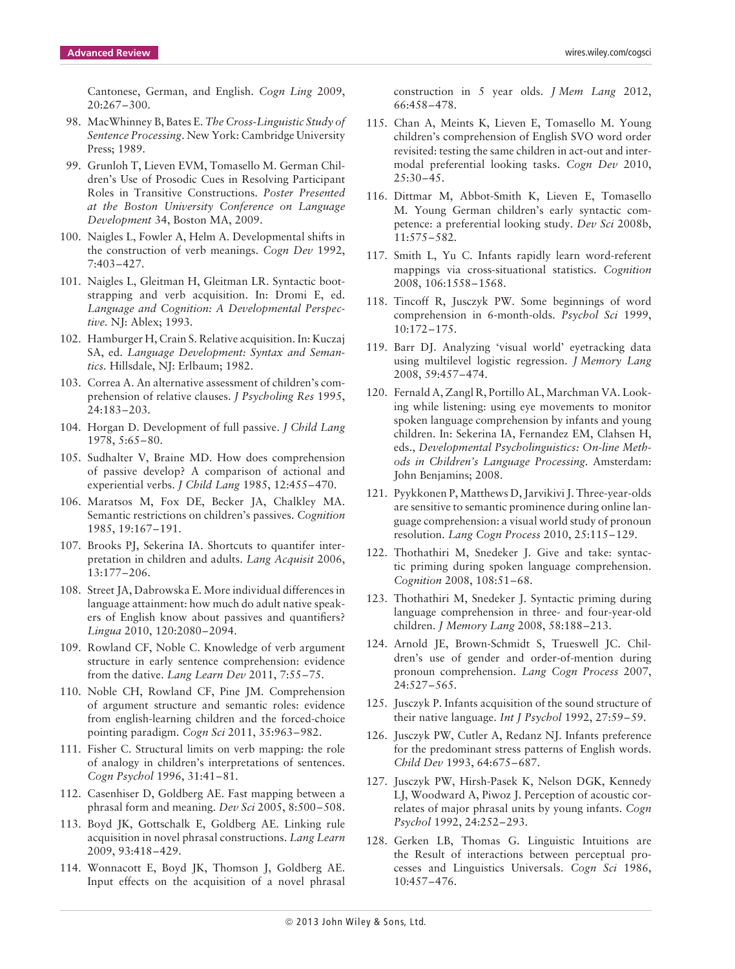Cantonese, German, and English. *Cogn Ling* 2009, 20:267–300.

- 98. MacWhinney B, Bates E. *The Cross-Linguistic Study of Sentence Processing*. New York: Cambridge University Press; 1989.
- 99. Grunloh T, Lieven EVM, Tomasello M. German Children's Use of Prosodic Cues in Resolving Participant Roles in Transitive Constructions. *Poster Presented at the Boston University Conference on Language Development* 34, Boston MA, 2009.
- 100. Naigles L, Fowler A, Helm A. Developmental shifts in the construction of verb meanings. *Cogn Dev* 1992, 7:403–427.
- 101. Naigles L, Gleitman H, Gleitman LR. Syntactic bootstrapping and verb acquisition. In: Dromi E, ed. *Language and Cognition: A Developmental Perspective.* NJ: Ablex; 1993.
- 102. Hamburger H, Crain S. Relative acquisition. In: Kuczaj SA, ed. *Language Development: Syntax and Semantics.* Hillsdale, NJ: Erlbaum; 1982.
- 103. Correa A. An alternative assessment of children's comprehension of relative clauses. *J Psycholing Res* 1995, 24:183–203.
- 104. Horgan D. Development of full passive. *J Child Lang* 1978, 5:65–80.
- 105. Sudhalter V, Braine MD. How does comprehension of passive develop? A comparison of actional and experiential verbs. *J Child Lang* 1985, 12:455–470.
- 106. Maratsos M, Fox DE, Becker JA, Chalkley MA. Semantic restrictions on children's passives. *Cognition* 1985, 19:167–191.
- 107. Brooks PJ, Sekerina IA. Shortcuts to quantifer interpretation in children and adults. *Lang Acquisit* 2006, 13:177–206.
- 108. Street JA, Dabrowska E. More individual differences in language attainment: how much do adult native speakers of English know about passives and quantifiers? *Lingua* 2010, 120:2080–2094.
- 109. Rowland CF, Noble C. Knowledge of verb argument structure in early sentence comprehension: evidence from the dative. *Lang Learn Dev* 2011, 7:55–75.
- 110. Noble CH, Rowland CF, Pine JM. Comprehension of argument structure and semantic roles: evidence from english-learning children and the forced-choice pointing paradigm. *Cogn Sci* 2011, 35:963–982.
- 111. Fisher C. Structural limits on verb mapping: the role of analogy in children's interpretations of sentences. *Cogn Psychol* 1996, 31:41–81.
- 112. Casenhiser D, Goldberg AE. Fast mapping between a phrasal form and meaning. *Dev Sci* 2005, 8:500–508.
- 113. Boyd JK, Gottschalk E, Goldberg AE. Linking rule acquisition in novel phrasal constructions. *Lang Learn* 2009, 93:418–429.
- 114. Wonnacott E, Boyd JK, Thomson J, Goldberg AE. Input effects on the acquisition of a novel phrasal

construction in 5 year olds. *J Mem Lang* 2012, 66:458–478.

- 115. Chan A, Meints K, Lieven E, Tomasello M. Young children's comprehension of English SVO word order revisited: testing the same children in act-out and intermodal preferential looking tasks. *Cogn Dev* 2010,  $25:30-45$ .
- 116. Dittmar M, Abbot-Smith K, Lieven E, Tomasello M. Young German children's early syntactic competence: a preferential looking study. *Dev Sci* 2008b, 11:575–582.
- 117. Smith L, Yu C. Infants rapidly learn word-referent mappings via cross-situational statistics. *Cognition* 2008, 106:1558–1568.
- 118. Tincoff R, Jusczyk PW. Some beginnings of word comprehension in 6-month-olds. *Psychol Sci* 1999, 10:172–175.
- 119. Barr DJ. Analyzing 'visual world' eyetracking data using multilevel logistic regression. *J Memory Lang* 2008, 59:457–474.
- 120. Fernald A, Zangl R, Portillo AL, Marchman VA. Looking while listening: using eye movements to monitor spoken language comprehension by infants and young children. In: Sekerina IA, Fernandez EM, Clahsen H, eds., *Developmental Psycholinguistics: On-line Methods in Children's Language Processing.* Amsterdam: John Benjamins; 2008.
- 121. Pyykkonen P, Matthews D, Jarvikivi J. Three-year-olds are sensitive to semantic prominence during online language comprehension: a visual world study of pronoun resolution. *Lang Cogn Process* 2010, 25:115–129.
- 122. Thothathiri M, Snedeker J. Give and take: syntactic priming during spoken language comprehension. *Cognition* 2008, 108:51–68.
- 123. Thothathiri M, Snedeker J. Syntactic priming during language comprehension in three- and four-year-old children. *J Memory Lang* 2008, 58:188–213.
- 124. Arnold JE, Brown-Schmidt S, Trueswell JC. Children's use of gender and order-of-mention during pronoun comprehension. *Lang Cogn Process* 2007, 24:527–565.
- 125. Jusczyk P. Infants acquisition of the sound structure of their native language. *Int J Psychol* 1992, 27:59–59.
- 126. Jusczyk PW, Cutler A, Redanz NJ. Infants preference for the predominant stress patterns of English words. *Child Dev* 1993, 64:675–687.
- 127. Jusczyk PW, Hirsh-Pasek K, Nelson DGK, Kennedy LJ, Woodward A, Piwoz J. Perception of acoustic correlates of major phrasal units by young infants. *Cogn Psychol* 1992, 24:252–293.
- 128. Gerken LB, Thomas G. Linguistic Intuitions are the Result of interactions between perceptual processes and Linguistics Universals. *Cogn Sci* 1986, 10:457–476.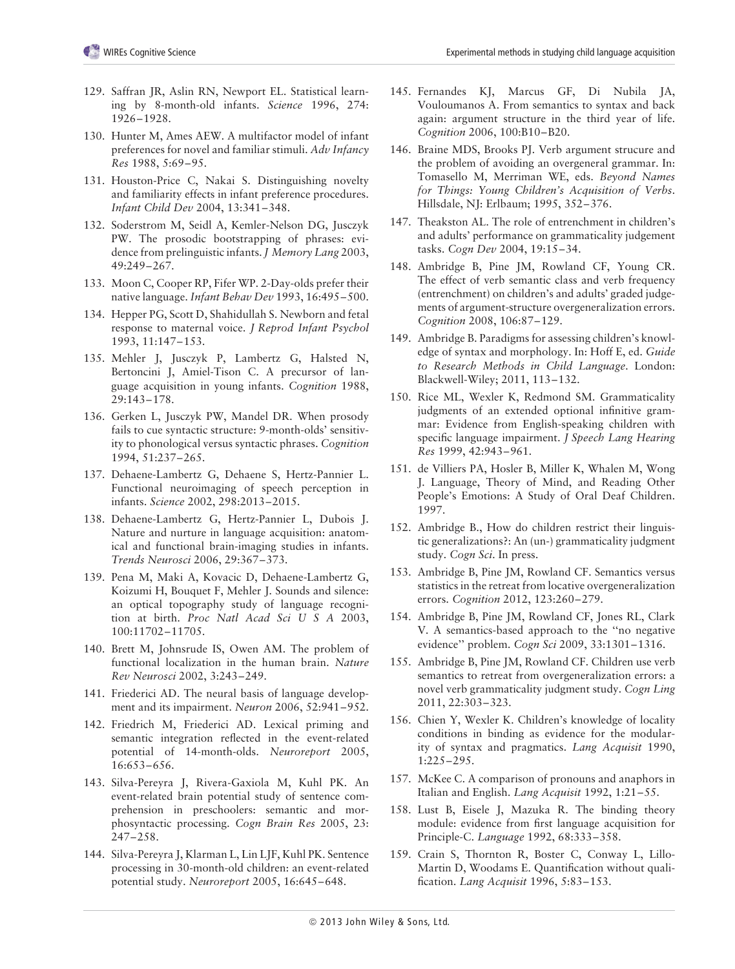- 129. Saffran JR, Aslin RN, Newport EL. Statistical learning by 8-month-old infants. *Science* 1996, 274: 1926–1928.
- 130. Hunter M, Ames AEW. A multifactor model of infant preferences for novel and familiar stimuli. *Adv Infancy Res* 1988, 5:69–95.
- 131. Houston-Price C, Nakai S. Distinguishing novelty and familiarity effects in infant preference procedures. *Infant Child Dev* 2004, 13:341–348.
- 132. Soderstrom M, Seidl A, Kemler-Nelson DG, Jusczyk PW. The prosodic bootstrapping of phrases: evidence from prelinguistic infants.*J Memory Lang* 2003, 49:249–267.
- 133. Moon C, Cooper RP, Fifer WP. 2-Day-olds prefer their native language. *Infant Behav Dev* 1993, 16:495–500.
- 134. Hepper PG, Scott D, Shahidullah S. Newborn and fetal response to maternal voice. *J Reprod Infant Psychol* 1993, 11:147–153.
- 135. Mehler J, Jusczyk P, Lambertz G, Halsted N, Bertoncini J, Amiel-Tison C. A precursor of language acquisition in young infants. *Cognition* 1988, 29:143–178.
- 136. Gerken L, Jusczyk PW, Mandel DR. When prosody fails to cue syntactic structure: 9-month-olds' sensitivity to phonological versus syntactic phrases. *Cognition* 1994, 51:237–265.
- 137. Dehaene-Lambertz G, Dehaene S, Hertz-Pannier L. Functional neuroimaging of speech perception in infants. *Science* 2002, 298:2013–2015.
- 138. Dehaene-Lambertz G, Hertz-Pannier L, Dubois J. Nature and nurture in language acquisition: anatomical and functional brain-imaging studies in infants. *Trends Neurosci* 2006, 29:367–373.
- 139. Pena M, Maki A, Kovacic D, Dehaene-Lambertz G, Koizumi H, Bouquet F, Mehler J. Sounds and silence: an optical topography study of language recognition at birth. *Proc Natl Acad Sci U S A* 2003, 100:11702–11705.
- 140. Brett M, Johnsrude IS, Owen AM. The problem of functional localization in the human brain. *Nature Rev Neurosci* 2002, 3:243–249.
- 141. Friederici AD. The neural basis of language development and its impairment. *Neuron* 2006, 52:941–952.
- 142. Friedrich M, Friederici AD. Lexical priming and semantic integration reflected in the event-related potential of 14-month-olds. *Neuroreport* 2005, 16:653–656.
- 143. Silva-Pereyra J, Rivera-Gaxiola M, Kuhl PK. An event-related brain potential study of sentence comprehension in preschoolers: semantic and morphosyntactic processing. *Cogn Brain Res* 2005, 23: 247–258.
- 144. Silva-Pereyra J, Klarman L, Lin LJF, Kuhl PK. Sentence processing in 30-month-old children: an event-related potential study. *Neuroreport* 2005, 16:645–648.
- 145. Fernandes KJ, Marcus GF, Di Nubila JA, Vouloumanos A. From semantics to syntax and back again: argument structure in the third year of life. *Cognition* 2006, 100:B10–B20.
- 146. Braine MDS, Brooks PJ. Verb argument strucure and the problem of avoiding an overgeneral grammar. In: Tomasello M, Merriman WE, eds. *Beyond Names for Things: Young Children's Acquisition of Verbs*. Hillsdale, NJ: Erlbaum; 1995, 352–376.
- 147. Theakston AL. The role of entrenchment in children's and adults' performance on grammaticality judgement tasks. *Cogn Dev* 2004, 19:15–34.
- 148. Ambridge B, Pine JM, Rowland CF, Young CR. The effect of verb semantic class and verb frequency (entrenchment) on children's and adults' graded judgements of argument-structure overgeneralization errors. *Cognition* 2008, 106:87–129.
- 149. Ambridge B. Paradigms for assessing children's knowledge of syntax and morphology. In: Hoff E, ed. *Guide to Research Methods in Child Language*. London: Blackwell-Wiley; 2011, 113–132.
- 150. Rice ML, Wexler K, Redmond SM. Grammaticality judgments of an extended optional infinitive grammar: Evidence from English-speaking children with specific language impairment. *J Speech Lang Hearing Res* 1999, 42:943–961.
- 151. de Villiers PA, Hosler B, Miller K, Whalen M, Wong J. Language, Theory of Mind, and Reading Other People's Emotions: A Study of Oral Deaf Children. 1997.
- 152. Ambridge B., How do children restrict their linguistic generalizations?: An (un-) grammaticality judgment study. *Cogn Sci*. In press.
- 153. Ambridge B, Pine JM, Rowland CF. Semantics versus statistics in the retreat from locative overgeneralization errors. *Cognition* 2012, 123:260–279.
- 154. Ambridge B, Pine JM, Rowland CF, Jones RL, Clark V. A semantics-based approach to the ''no negative evidence'' problem. *Cogn Sci* 2009, 33:1301–1316.
- 155. Ambridge B, Pine JM, Rowland CF. Children use verb semantics to retreat from overgeneralization errors: a novel verb grammaticality judgment study. *Cogn Ling* 2011, 22:303–323.
- 156. Chien Y, Wexler K. Children's knowledge of locality conditions in binding as evidence for the modularity of syntax and pragmatics. *Lang Acquisit* 1990, 1:225–295.
- 157. McKee C. A comparison of pronouns and anaphors in Italian and English. *Lang Acquisit* 1992, 1:21–55.
- 158. Lust B, Eisele J, Mazuka R. The binding theory module: evidence from first language acquisition for Principle-C. *Language* 1992, 68:333–358.
- 159. Crain S, Thornton R, Boster C, Conway L, Lillo-Martin D, Woodams E. Quantification without qualification. *Lang Acquisit* 1996, 5:83–153.